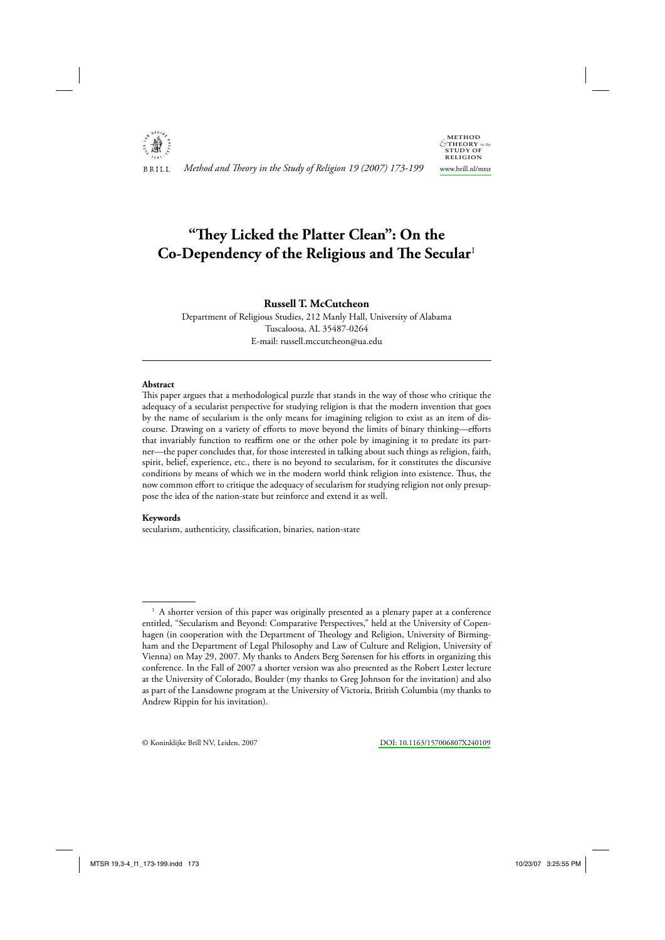

**BRILL** 

## Method and Theory in the Study of Religion 19 (2007) 173-199

# "They Licked the Platter Clean": On the Co-Dependency of the Religious and The Secular<sup>1</sup>

#### **Russell T. McCutcheon**

Department of Religious Studies, 212 Manly Hall, University of Alabama Tuscaloosa, AL 35487-0264 E-mail: russell.mccutcheon@ua.edu

#### Ahstract

This paper argues that a methodological puzzle that stands in the way of those who critique the adequacy of a secularist perspective for studying religion is that the modern invention that goes by the name of secularism is the only means for imagining religion to exist as an item of discourse. Drawing on a variety of efforts to move beyond the limits of binary thinking-efforts that invariably function to reaffirm one or the other pole by imagining it to predate its partner—the paper concludes that, for those interested in talking about such things as religion, faith, spirit, belief, experience, etc., there is no beyond to secularism, for it constitutes the discursive conditions by means of which we in the modern world think religion into existence. Thus, the now common effort to critique the adequacy of secularism for studying religion not only presuppose the idea of the nation-state but reinforce and extend it as well.

#### Kevwords

secularism, authenticity, classification, binaries, nation-state

 $<sup>1</sup>$  A shorter version of this paper was originally presented as a plenary paper at a conference</sup> entitled, "Secularism and Beyond: Comparative Perspectives," held at the University of Copenhagen (in cooperation with the Department of Theology and Religion, University of Birmingham and the Department of Legal Philosophy and Law of Culture and Religion, University of Vienna) on May 29, 2007. My thanks to Anders Berg Sørensen for his efforts in organizing this conference. In the Fall of 2007 a shorter version was also presented as the Robert Lester lecture at the University of Colorado, Boulder (my thanks to Greg Johnson for the invitation) and also as part of the Lansdowne program at the University of Victoria, British Columbia (my thanks to Andrew Rippin for his invitation).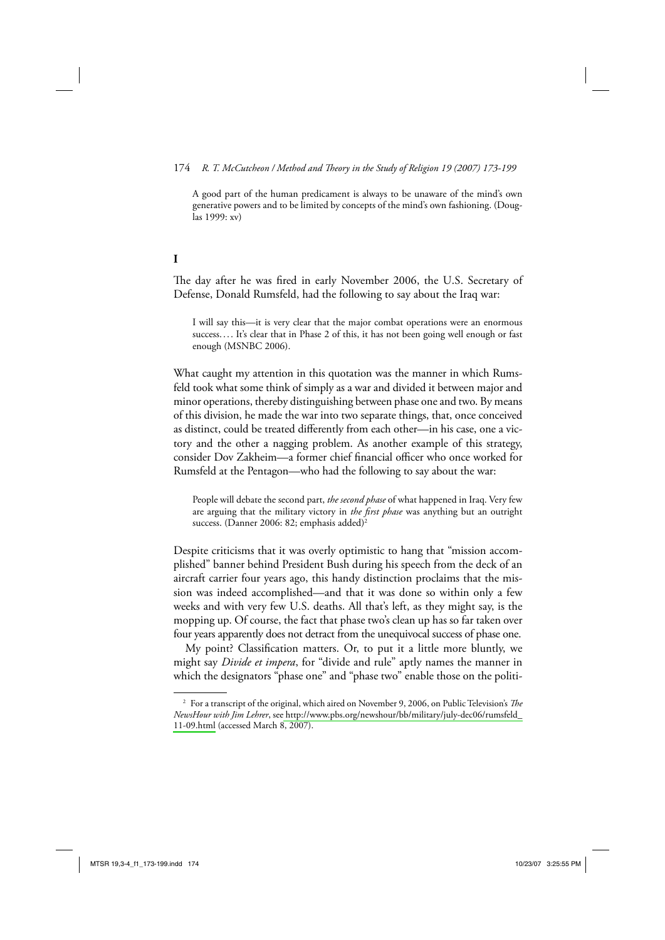#### 174 R. T. McCutcheon / Method and Theory in the Study of Religion 19 (2007) 173-199

A good part of the human predicament is always to be unaware of the mind's own generative powers and to be limited by concepts of the mind's own fashioning. (Doug- $\text{las } 1999: \text{xy}$ 

## $\mathbf{I}$

The day after he was fired in early November 2006, the U.S. Secretary of Defense, Donald Rumsfeld, had the following to say about the Iraq war:

I will say this-it is very clear that the major combat operations were an enormous success.... It's clear that in Phase 2 of this, it has not been going well enough or fast enough (MSNBC 2006).

What caught my attention in this quotation was the manner in which Rumsfeld took what some think of simply as a war and divided it between major and minor operations, thereby distinguishing between phase one and two. By means of this division, he made the war into two separate things, that, once conceived as distinct, could be treated differently from each other-in his case, one a victory and the other a nagging problem. As another example of this strategy, consider Dov Zakheim-a former chief financial officer who once worked for Rumsfeld at the Pentagon—who had the following to say about the war:

People will debate the second part, the second phase of what happened in Iraq. Very few are arguing that the military victory in the first phase was anything but an outright success. (Danner 2006: 82; emphasis added)<sup>2</sup>

Despite criticisms that it was overly optimistic to hang that "mission accomplished" banner behind President Bush during his speech from the deck of an aircraft carrier four years ago, this handy distinction proclaims that the mission was indeed accomplished—and that it was done so within only a few weeks and with very few U.S. deaths. All that's left, as they might say, is the mopping up. Of course, the fact that phase two's clean up has so far taken over four years apparently does not detract from the unequivocal success of phase one.

My point? Classification matters. Or, to put it a little more bluntly, we might say Divide et impera, for "divide and rule" aptly names the manner in which the designators "phase one" and "phase two" enable those on the politi-

<sup>&</sup>lt;sup>2</sup> For a transcript of the original, which aired on November 9, 2006, on Public Television's *The* NewsHour with Jim Lehrer, see http://www.pbs.org/newshour/bb/military/july-dec06/rumsfeld\_ 11-09.html (accessed March 8, 2007).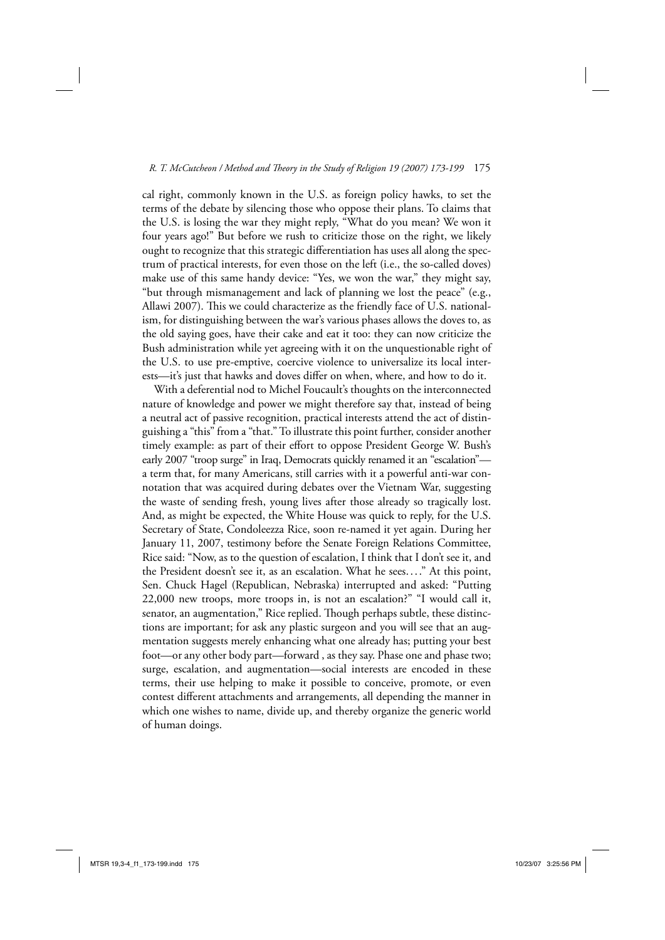cal right, commonly known in the U.S. as foreign policy hawks, to set the terms of the debate by silencing those who oppose their plans. To claims that the U.S. is losing the war they might reply, "What do you mean? We won it four years ago!" But before we rush to criticize those on the right, we likely ought to recognize that this strategic differentiation has uses all along the spectrum of practical interests, for even those on the left (i.e., the so-called doves) make use of this same handy device: "Yes, we won the war," they might say, "but through mismanagement and lack of planning we lost the peace" (e.g., Allawi 2007). This we could characterize as the friendly face of U.S. nationalism, for distinguishing between the war's various phases allows the doves to, as the old saying goes, have their cake and eat it too: they can now criticize the Bush administration while yet agreeing with it on the unquestionable right of the U.S. to use pre-emptive, coercive violence to universalize its local interests-it's just that hawks and doves differ on when, where, and how to do it.

With a deferential nod to Michel Foucault's thoughts on the interconnected nature of knowledge and power we might therefore say that, instead of being a neutral act of passive recognition, practical interests attend the act of distinguishing a "this" from a "that." To illustrate this point further, consider another timely example: as part of their effort to oppose President George W. Bush's early 2007 "troop surge" in Iraq, Democrats quickly renamed it an "escalation"a term that, for many Americans, still carries with it a powerful anti-war connotation that was acquired during debates over the Vietnam War, suggesting the waste of sending fresh, young lives after those already so tragically lost. And, as might be expected, the White House was quick to reply, for the U.S. Secretary of State, Condoleezza Rice, soon re-named it yet again. During her January 11, 2007, testimony before the Senate Foreign Relations Committee, Rice said: "Now, as to the question of escalation, I think that I don't see it, and the President doesn't see it, as an escalation. What he sees...." At this point, Sen. Chuck Hagel (Republican, Nebraska) interrupted and asked: "Putting 22,000 new troops, more troops in, is not an escalation?" "I would call it, senator, an augmentation," Rice replied. Though perhaps subtle, these distinctions are important; for ask any plastic surgeon and you will see that an augmentation suggests merely enhancing what one already has; putting your best foot-or any other body part-forward, as they say. Phase one and phase two; surge, escalation, and augmentation-social interests are encoded in these terms, their use helping to make it possible to conceive, promote, or even contest different attachments and arrangements, all depending the manner in which one wishes to name, divide up, and thereby organize the generic world of human doings.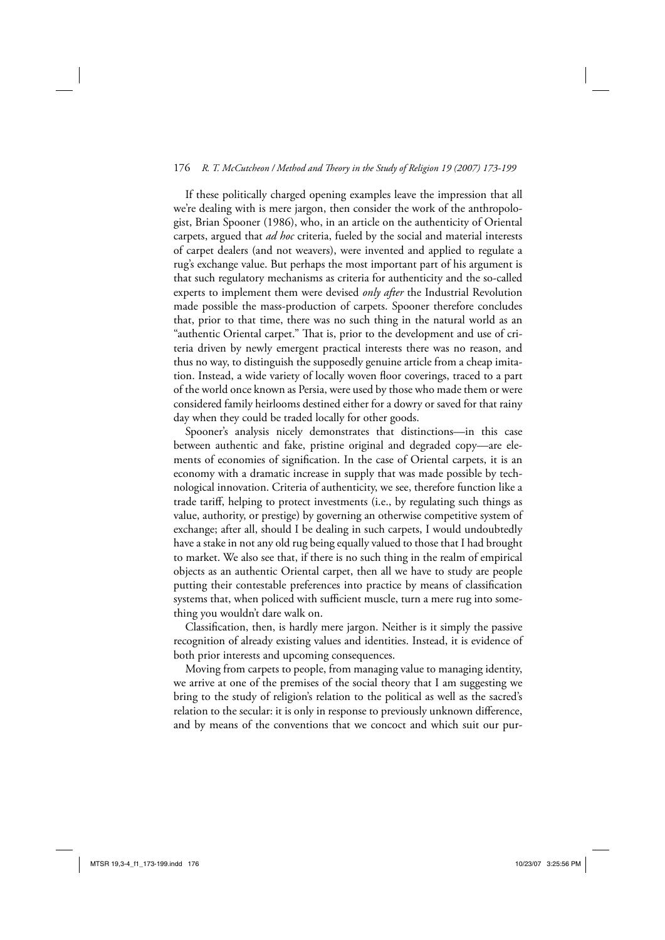If these politically charged opening examples leave the impression that all we're dealing with is mere jargon, then consider the work of the anthropologist, Brian Spooner (1986), who, in an article on the authenticity of Oriental carpets, argued that *ad hoc* criteria, fueled by the social and material interests of carpet dealers (and not weavers), were invented and applied to regulate a rug's exchange value. But perhaps the most important part of his argument is that such regulatory mechanisms as criteria for authenticity and the so-called experts to implement them were devised only after the Industrial Revolution made possible the mass-production of carpets. Spooner therefore concludes that, prior to that time, there was no such thing in the natural world as an "authentic Oriental carpet." That is, prior to the development and use of criteria driven by newly emergent practical interests there was no reason, and thus no way, to distinguish the supposedly genuine article from a cheap imitation. Instead, a wide variety of locally woven floor coverings, traced to a part of the world once known as Persia, were used by those who made them or were considered family heirlooms destined either for a dowry or saved for that rainy day when they could be traded locally for other goods.

Spooner's analysis nicely demonstrates that distinctions-in this case between authentic and fake, pristine original and degraded copy-are elements of economies of signification. In the case of Oriental carpets, it is an economy with a dramatic increase in supply that was made possible by technological innovation. Criteria of authenticity, we see, therefore function like a trade tariff, helping to protect investments (i.e., by regulating such things as value, authority, or prestige) by governing an otherwise competitive system of exchange; after all, should I be dealing in such carpets, I would undoubtedly have a stake in not any old rug being equally valued to those that I had brought to market. We also see that, if there is no such thing in the realm of empirical objects as an authentic Oriental carpet, then all we have to study are people putting their contestable preferences into practice by means of classification systems that, when policed with sufficient muscle, turn a mere rug into something you wouldn't dare walk on.

Classification, then, is hardly mere jargon. Neither is it simply the passive recognition of already existing values and identities. Instead, it is evidence of both prior interests and upcoming consequences.

Moving from carpets to people, from managing value to managing identity, we arrive at one of the premises of the social theory that I am suggesting we bring to the study of religion's relation to the political as well as the sacred's relation to the secular: it is only in response to previously unknown difference, and by means of the conventions that we concoct and which suit our pur-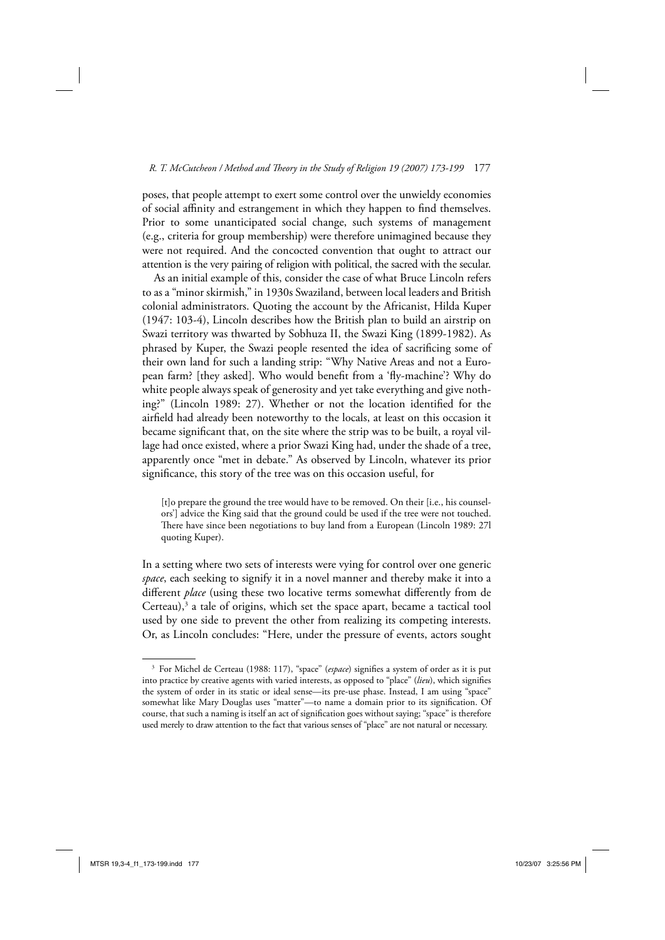poses, that people attempt to exert some control over the unwieldy economies of social affinity and estrangement in which they happen to find themselves. Prior to some unanticipated social change, such systems of management (e.g., criteria for group membership) were therefore unimagined because they were not required. And the concocted convention that ought to attract our attention is the very pairing of religion with political, the sacred with the secular.

As an initial example of this, consider the case of what Bruce Lincoln refers to as a "minor skirmish," in 1930s Swaziland, between local leaders and British colonial administrators. Quoting the account by the Africanist, Hilda Kuper (1947: 103-4), Lincoln describes how the British plan to build an airstrip on Swazi territory was thwarted by Sobhuza II, the Swazi King (1899-1982). As phrased by Kuper, the Swazi people resented the idea of sacrificing some of their own land for such a landing strip: "Why Native Areas and not a European farm? [they asked]. Who would benefit from a 'fly-machine'? Why do white people always speak of generosity and yet take everything and give nothing?" (Lincoln 1989: 27). Whether or not the location identified for the airfield had already been noteworthy to the locals, at least on this occasion it became significant that, on the site where the strip was to be built, a royal village had once existed, where a prior Swazi King had, under the shade of a tree, apparently once "met in debate." As observed by Lincoln, whatever its prior significance, this story of the tree was on this occasion useful, for

[t]o prepare the ground the tree would have to be removed. On their [i.e., his counselors'] advice the King said that the ground could be used if the tree were not touched. There have since been negotiations to buy land from a European (Lincoln 1989: 27l quoting Kuper).

In a setting where two sets of interests were vying for control over one generic space, each seeking to signify it in a novel manner and thereby make it into a different *place* (using these two locative terms somewhat differently from de Certeau),<sup>3</sup> a tale of origins, which set the space apart, became a tactical tool used by one side to prevent the other from realizing its competing interests. Or, as Lincoln concludes: "Here, under the pressure of events, actors sought

<sup>&</sup>lt;sup>3</sup> For Michel de Certeau (1988: 117), "space" (espace) signifies a system of order as it is put into practice by creative agents with varied interests, as opposed to "place" (lieu), which signifies the system of order in its static or ideal sense—its pre-use phase. Instead, I am using "space" somewhat like Mary Douglas uses "matter"-to name a domain prior to its signification. Of course, that such a naming is itself an act of signification goes without saying; "space" is therefore used merely to draw attention to the fact that various senses of "place" are not natural or necessary.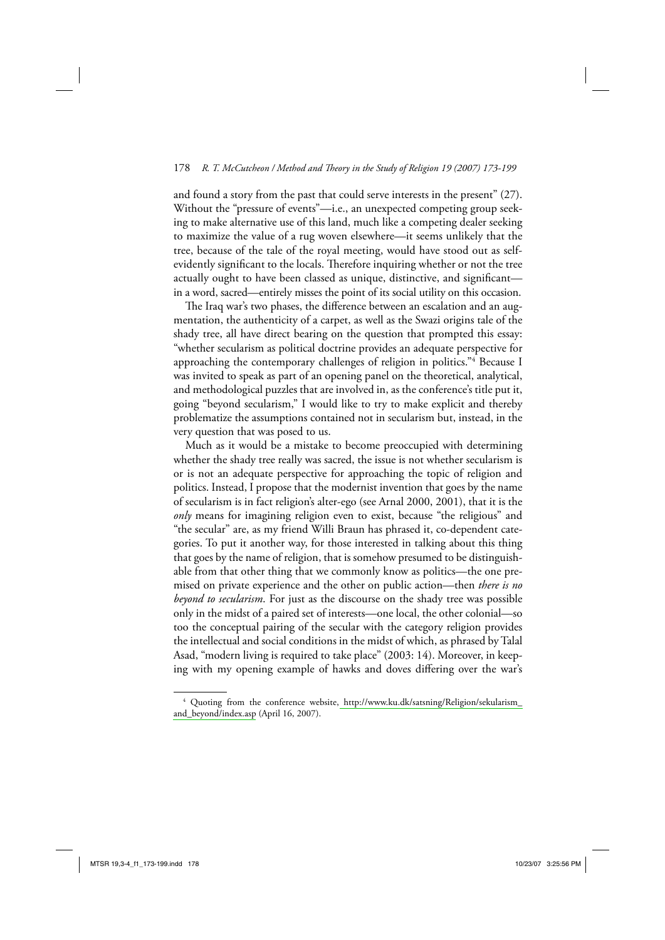and found a story from the past that could serve interests in the present" (27). Without the "pressure of events"—i.e., an unexpected competing group seeking to make alternative use of this land, much like a competing dealer seeking to maximize the value of a rug woven elsewhere-it seems unlikely that the tree, because of the tale of the royal meeting, would have stood out as selfevidently significant to the locals. Therefore inquiring whether or not the tree actually ought to have been classed as unique, distinctive, and significantin a word, sacred—entirely misses the point of its social utility on this occasion.

The Iraq war's two phases, the difference between an escalation and an augmentation, the authenticity of a carpet, as well as the Swazi origins tale of the shady tree, all have direct bearing on the question that prompted this essay: "whether secularism as political doctrine provides an adequate perspective for approaching the contemporary challenges of religion in politics."4 Because I was invited to speak as part of an opening panel on the theoretical, analytical, and methodological puzzles that are involved in, as the conference's title put it, going "beyond secularism," I would like to try to make explicit and thereby problematize the assumptions contained not in secularism but, instead, in the very question that was posed to us.

Much as it would be a mistake to become preoccupied with determining whether the shady tree really was sacred, the issue is not whether secularism is or is not an adequate perspective for approaching the topic of religion and politics. Instead, I propose that the modernist invention that goes by the name of secularism is in fact religion's alter-ego (see Arnal 2000, 2001), that it is the only means for imagining religion even to exist, because "the religious" and "the secular" are, as my friend Willi Braun has phrased it, co-dependent categories. To put it another way, for those interested in talking about this thing that goes by the name of religion, that is somehow presumed to be distinguishable from that other thing that we commonly know as politics-the one premised on private experience and the other on public action—then there is no beyond to secularism. For just as the discourse on the shady tree was possible only in the midst of a paired set of interests-one local, the other colonial-so too the conceptual pairing of the secular with the category religion provides the intellectual and social conditions in the midst of which, as phrased by Talal Asad, "modern living is required to take place" (2003: 14). Moreover, in keeping with my opening example of hawks and doves differing over the war's

<sup>&</sup>lt;sup>4</sup> Quoting from the conference website, http://www.ku.dk/satsning/Religion/sekularism\_ and\_beyond/index.asp (April 16, 2007).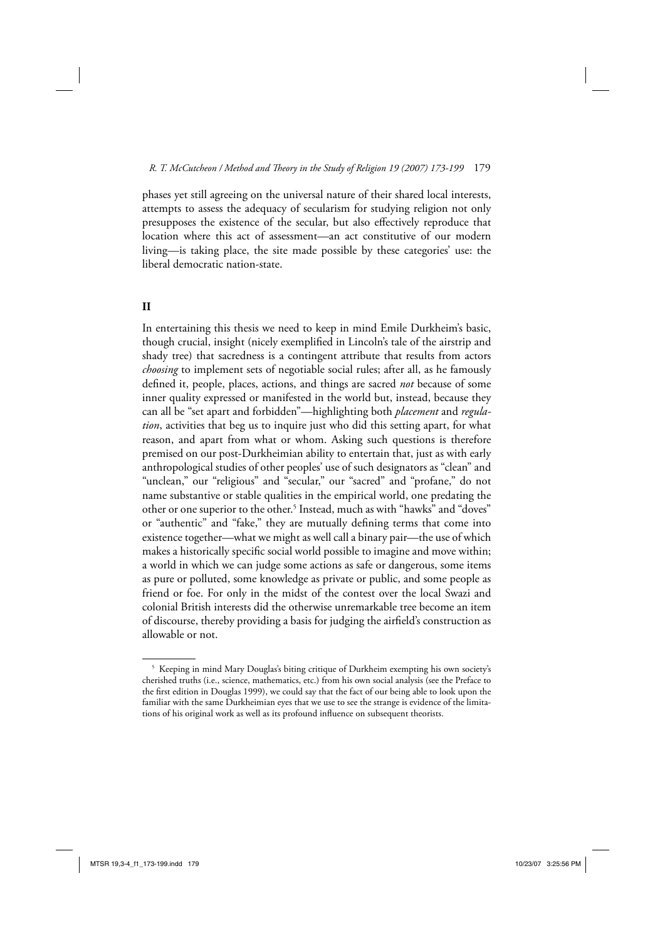phases yet still agreeing on the universal nature of their shared local interests, attempts to assess the adequacy of secularism for studying religion not only presupposes the existence of the secular, but also effectively reproduce that location where this act of assessment—an act constitutive of our modern living-is taking place, the site made possible by these categories' use: the liberal democratic nation-state.

## $\mathbf{H}$

In entertaining this thesis we need to keep in mind Emile Durkheim's basic, though crucial, insight (nicely exemplified in Lincoln's tale of the airstrip and shady tree) that sacredness is a contingent attribute that results from actors choosing to implement sets of negotiable social rules; after all, as he famously defined it, people, places, actions, and things are sacred not because of some inner quality expressed or manifested in the world but, instead, because they can all be "set apart and forbidden"—highlighting both *placement* and *regula*tion, activities that beg us to inquire just who did this setting apart, for what reason, and apart from what or whom. Asking such questions is therefore premised on our post-Durkheimian ability to entertain that, just as with early anthropological studies of other peoples' use of such designators as "clean" and "unclean," our "religious" and "secular," our "sacred" and "profane," do not name substantive or stable qualities in the empirical world, one predating the other or one superior to the other.<sup>5</sup> Instead, much as with "hawks" and "doves" or "authentic" and "fake," they are mutually defining terms that come into existence together—what we might as well call a binary pair—the use of which makes a historically specific social world possible to imagine and move within; a world in which we can judge some actions as safe or dangerous, some items as pure or polluted, some knowledge as private or public, and some people as friend or foe. For only in the midst of the contest over the local Swazi and colonial British interests did the otherwise unremarkable tree become an item of discourse, thereby providing a basis for judging the airfield's construction as allowable or not

<sup>&</sup>lt;sup>5</sup> Keeping in mind Mary Douglas's biting critique of Durkheim exempting his own society's cherished truths (i.e., science, mathematics, etc.) from his own social analysis (see the Preface to the first edition in Douglas 1999), we could say that the fact of our being able to look upon the familiar with the same Durkheimian eyes that we use to see the strange is evidence of the limitations of his original work as well as its profound influence on subsequent theorists.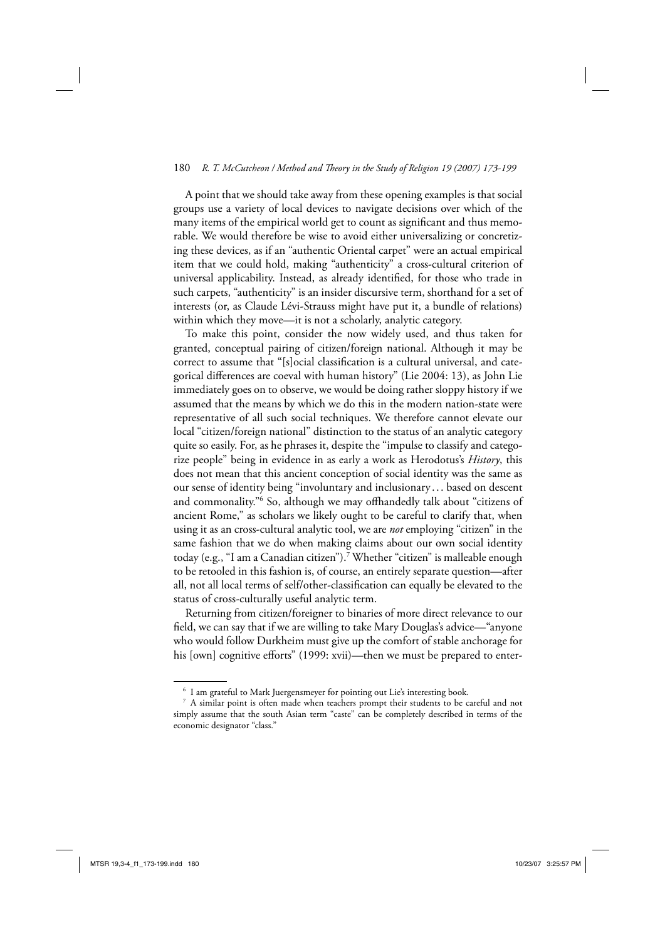A point that we should take away from these opening examples is that social groups use a variety of local devices to navigate decisions over which of the many items of the empirical world get to count as significant and thus memorable. We would therefore be wise to avoid either universalizing or concretizing these devices, as if an "authentic Oriental carpet" were an actual empirical item that we could hold, making "authenticity" a cross-cultural criterion of universal applicability. Instead, as already identified, for those who trade in such carpets, "authenticity" is an insider discursive term, shorthand for a set of interests (or, as Claude Lévi-Strauss might have put it, a bundle of relations) within which they move—it is not a scholarly, analytic category.

To make this point, consider the now widely used, and thus taken for granted, conceptual pairing of citizen/foreign national. Although it may be correct to assume that "[s]ocial classification is a cultural universal, and categorical differences are coeval with human history" (Lie 2004: 13), as John Lie immediately goes on to observe, we would be doing rather sloppy history if we assumed that the means by which we do this in the modern nation-state were representative of all such social techniques. We therefore cannot elevate our local "citizen/foreign national" distinction to the status of an analytic category quite so easily. For, as he phrases it, despite the "impulse to classify and categorize people" being in evidence in as early a work as Herodotus's *History*, this does not mean that this ancient conception of social identity was the same as our sense of identity being "involuntary and inclusionary... based on descent and commonality."<sup>6</sup> So, although we may offhandedly talk about "citizens of ancient Rome," as scholars we likely ought to be careful to clarify that, when using it as an cross-cultural analytic tool, we are not employing "citizen" in the same fashion that we do when making claims about our own social identity today (e.g., "I am a Canadian citizen").<sup>7</sup> Whether "citizen" is malleable enough to be retooled in this fashion is, of course, an entirely separate question-after all, not all local terms of self/other-classification can equally be elevated to the status of cross-culturally useful analytic term.

Returning from citizen/foreigner to binaries of more direct relevance to our field, we can say that if we are willing to take Mary Douglas's advice-"anyone who would follow Durkheim must give up the comfort of stable anchorage for his [own] cognitive efforts" (1999: xvii)—then we must be prepared to enter-

<sup>&</sup>lt;sup>6</sup> I am grateful to Mark Juergensmeyer for pointing out Lie's interesting book.

<sup>7</sup> A similar point is often made when teachers prompt their students to be careful and not simply assume that the south Asian term "caste" can be completely described in terms of the economic designator "class."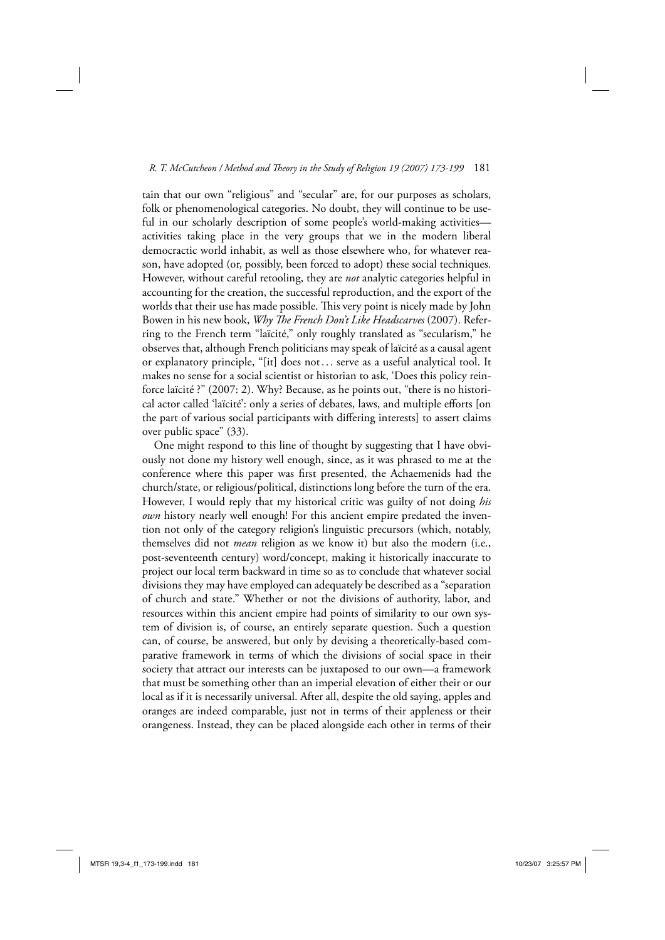tain that our own "religious" and "secular" are, for our purposes as scholars, folk or phenomenological categories. No doubt, they will continue to be useful in our scholarly description of some people's world-making activitiesactivities taking place in the very groups that we in the modern liberal democractic world inhabit, as well as those elsewhere who, for whatever reason, have adopted (or, possibly, been forced to adopt) these social techniques. However, without careful retooling, they are not analytic categories helpful in accounting for the creation, the successful reproduction, and the export of the worlds that their use has made possible. This very point is nicely made by John Bowen in his new book, Why The French Don't Like Headscarves (2007). Referring to the French term "laïcité," only roughly translated as "secularism," he observes that, although French politicians may speak of laïcité as a causal agent or explanatory principle, "[it] does not... serve as a useful analytical tool. It makes no sense for a social scientist or historian to ask, 'Does this policy reinforce laïcité ?" (2007: 2). Why? Because, as he points out, "there is no historical actor called 'laïcité': only a series of debates, laws, and multiple efforts [on the part of various social participants with differing interests] to assert claims over public space" (33).

One might respond to this line of thought by suggesting that I have obviously not done my history well enough, since, as it was phrased to me at the conference where this paper was first presented, the Achaemenids had the church/state, or religious/political, distinctions long before the turn of the era. However, I would reply that my historical critic was guilty of not doing his own history nearly well enough! For this ancient empire predated the invention not only of the category religion's linguistic precursors (which, notably, themselves did not *mean* religion as we know it) but also the modern (i.e., post-seventeenth century) word/concept, making it historically inaccurate to project our local term backward in time so as to conclude that whatever social divisions they may have employed can adequately be described as a "separation" of church and state." Whether or not the divisions of authority, labor, and resources within this ancient empire had points of similarity to our own system of division is, of course, an entirely separate question. Such a question can, of course, be answered, but only by devising a theoretically-based comparative framework in terms of which the divisions of social space in their society that attract our interests can be juxtaposed to our own-a framework that must be something other than an imperial elevation of either their or our local as if it is necessarily universal. After all, despite the old saying, apples and oranges are indeed comparable, just not in terms of their appleness or their orangeness. Instead, they can be placed alongside each other in terms of their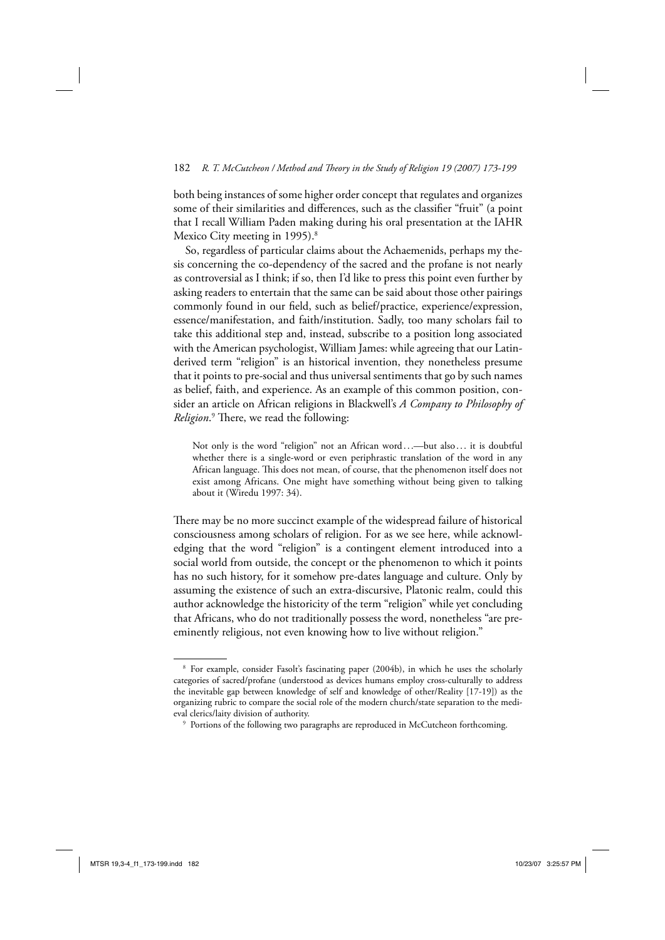both being instances of some higher order concept that regulates and organizes some of their similarities and differences, such as the classifier "fruit" (a point that I recall William Paden making during his oral presentation at the IAHR Mexico City meeting in 1995).<sup>8</sup>

So, regardless of particular claims about the Achaemenids, perhaps my thesis concerning the co-dependency of the sacred and the profane is not nearly as controversial as I think; if so, then I'd like to press this point even further by asking readers to entertain that the same can be said about those other pairings commonly found in our field, such as belief/practice, experience/expression, essence/manifestation, and faith/institution. Sadly, too many scholars fail to take this additional step and, instead, subscribe to a position long associated with the American psychologist, William James: while agreeing that our Latinderived term "religion" is an historical invention, they nonetheless presume that it points to pre-social and thus universal sentiments that go by such names as belief, faith, and experience. As an example of this common position, consider an article on African religions in Blackwell's A Company to Philosophy of Religion.<sup>9</sup> There, we read the following:

Not only is the word "religion" not an African word...- but also... it is doubtful whether there is a single-word or even periphrastic translation of the word in any African language. This does not mean, of course, that the phenomenon itself does not exist among Africans. One might have something without being given to talking about it (Wiredu 1997: 34).

There may be no more succinct example of the widespread failure of historical consciousness among scholars of religion. For as we see here, while acknowledging that the word "religion" is a contingent element introduced into a social world from outside, the concept or the phenomenon to which it points has no such history, for it somehow pre-dates language and culture. Only by assuming the existence of such an extra-discursive, Platonic realm, could this author acknowledge the historicity of the term "religion" while yet concluding that Africans, who do not traditionally possess the word, nonetheless "are preeminently religious, not even knowing how to live without religion."

<sup>&</sup>lt;sup>8</sup> For example, consider Fasolt's fascinating paper (2004b), in which he uses the scholarly categories of sacred/profane (understood as devices humans employ cross-culturally to address the inevitable gap between knowledge of self and knowledge of other/Reality [17-19]) as the organizing rubric to compare the social role of the modern church/state separation to the medieval clerics/laity division of authority.

<sup>&</sup>lt;sup>9</sup> Portions of the following two paragraphs are reproduced in McCutcheon forthcoming.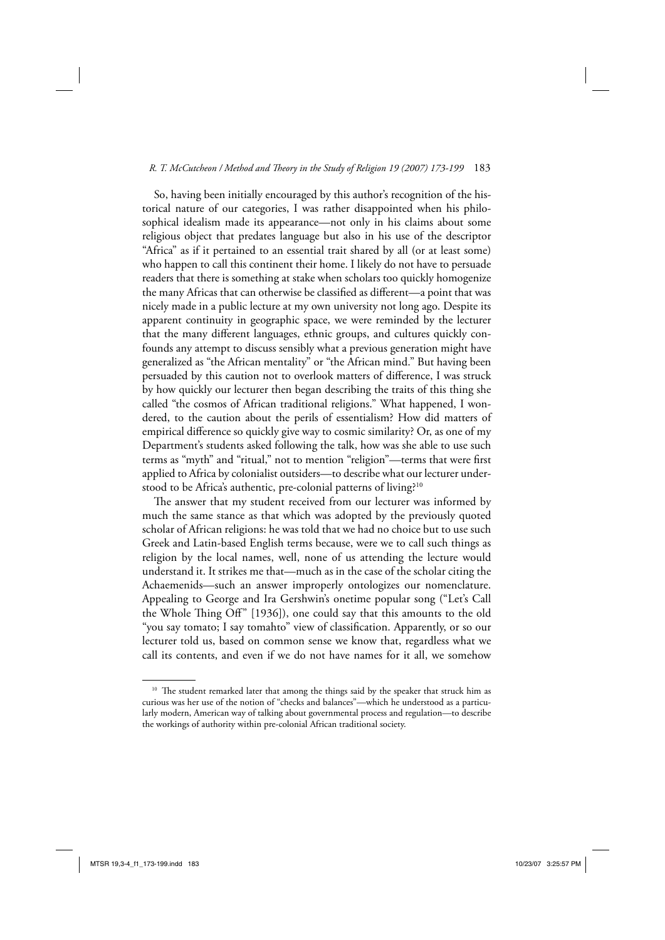So, having been initially encouraged by this author's recognition of the historical nature of our categories, I was rather disappointed when his philosophical idealism made its appearance—not only in his claims about some religious object that predates language but also in his use of the descriptor "Africa" as if it pertained to an essential trait shared by all (or at least some) who happen to call this continent their home. I likely do not have to persuade readers that there is something at stake when scholars too quickly homogenize the many Africas that can otherwise be classified as different-a point that was nicely made in a public lecture at my own university not long ago. Despite its apparent continuity in geographic space, we were reminded by the lecturer that the many different languages, ethnic groups, and cultures quickly confounds any attempt to discuss sensibly what a previous generation might have generalized as "the African mentality" or "the African mind." But having been persuaded by this caution not to overlook matters of difference, I was struck by how quickly our lecturer then began describing the traits of this thing she called "the cosmos of African traditional religions." What happened, I wondered, to the caution about the perils of essentialism? How did matters of empirical difference so quickly give way to cosmic similarity? Or, as one of my Department's students asked following the talk, how was she able to use such terms as "myth" and "ritual," not to mention "religion"—terms that were first applied to Africa by colonialist outsiders- to describe what our lecturer understood to be Africa's authentic, pre-colonial patterns of living?<sup>10</sup>

The answer that my student received from our lecturer was informed by much the same stance as that which was adopted by the previously quoted scholar of African religions: he was told that we had no choice but to use such Greek and Latin-based English terms because, were we to call such things as religion by the local names, well, none of us attending the lecture would understand it. It strikes me that—much as in the case of the scholar citing the Achaemenids-such an answer improperly ontologizes our nomenclature. Appealing to George and Ira Gershwin's onetime popular song ("Let's Call the Whole Thing Off" [1936]), one could say that this amounts to the old "you say tomato; I say tomahto" view of classification. Apparently, or so our lecturer told us, based on common sense we know that, regardless what we call its contents, and even if we do not have names for it all, we somehow

<sup>&</sup>lt;sup>10</sup> The student remarked later that among the things said by the speaker that struck him as curious was her use of the notion of "checks and balances"—which he understood as a particularly modern, American way of talking about governmental process and regulation-to describe the workings of authority within pre-colonial African traditional society.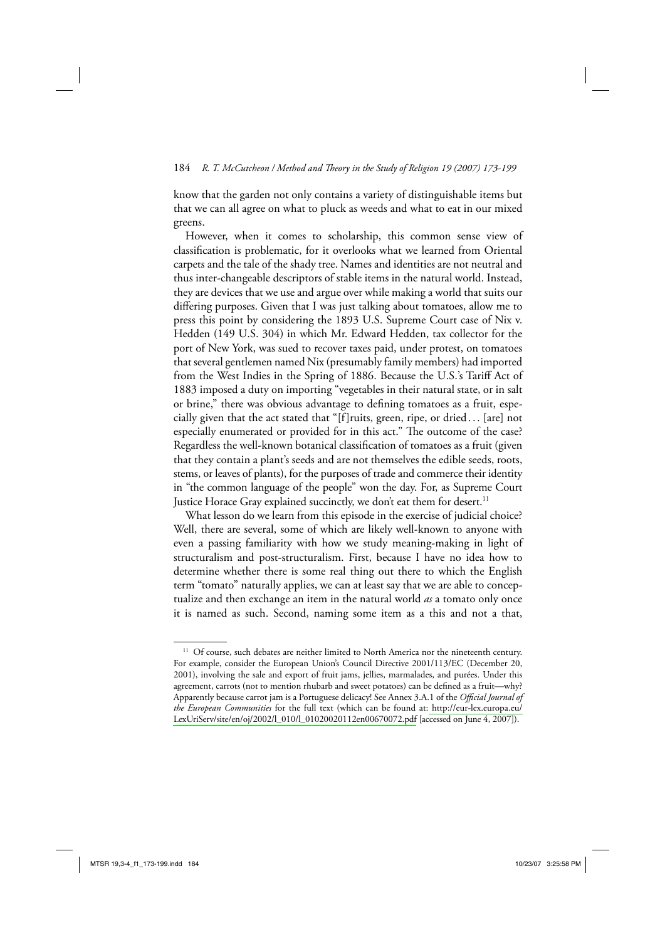know that the garden not only contains a variety of distinguishable items but that we can all agree on what to pluck as weeds and what to eat in our mixed greens.

However, when it comes to scholarship, this common sense view of classification is problematic, for it overlooks what we learned from Oriental carpets and the tale of the shady tree. Names and identities are not neutral and thus inter-changeable descriptors of stable items in the natural world. Instead, they are devices that we use and argue over while making a world that suits our differing purposes. Given that I was just talking about tomatoes, allow me to press this point by considering the 1893 U.S. Supreme Court case of Nix v. Hedden (149 U.S. 304) in which Mr. Edward Hedden, tax collector for the port of New York, was sued to recover taxes paid, under protest, on tomatoes that several gentlemen named Nix (presumably family members) had imported from the West Indies in the Spring of 1886. Because the U.S.'s Tariff Act of 1883 imposed a duty on importing "vegetables in their natural state, or in salt or brine," there was obvious advantage to defining tomatoes as a fruit, especially given that the act stated that "[f]ruits, green, ripe, or dried... [are] not especially enumerated or provided for in this act." The outcome of the case? Regardless the well-known botanical classification of tomatoes as a fruit (given that they contain a plant's seeds and are not themselves the edible seeds, roots, stems, or leaves of plants), for the purposes of trade and commerce their identity in "the common language of the people" won the day. For, as Supreme Court Justice Horace Gray explained succinctly, we don't eat them for desert.<sup>11</sup>

What lesson do we learn from this episode in the exercise of judicial choice? Well, there are several, some of which are likely well-known to anyone with even a passing familiarity with how we study meaning-making in light of structuralism and post-structuralism. First, because I have no idea how to determine whether there is some real thing out there to which the English term "tomato" naturally applies, we can at least say that we are able to conceptualize and then exchange an item in the natural world *as* a tomato only once it is named as such. Second, naming some item as a this and not a that,

<sup>&</sup>lt;sup>11</sup> Of course, such debates are neither limited to North America nor the nineteenth century. For example, consider the European Union's Council Directive 2001/113/EC (December 20, 2001), involving the sale and export of fruit jams, jellies, marmalades, and purées. Under this agreement, carrots (not to mention rhubarb and sweet potatoes) can be defined as a fruit—why? Apparently because carrot jam is a Portuguese delicacy! See Annex 3.A.1 of the Official Journal of the European Communities for the full text (which can be found at: http://eur-lex.europa.eu/ LexUriServ/site/en/oj/2002/l\_010/l\_01020020112en00670072.pdf [accessed on June 4, 2007]).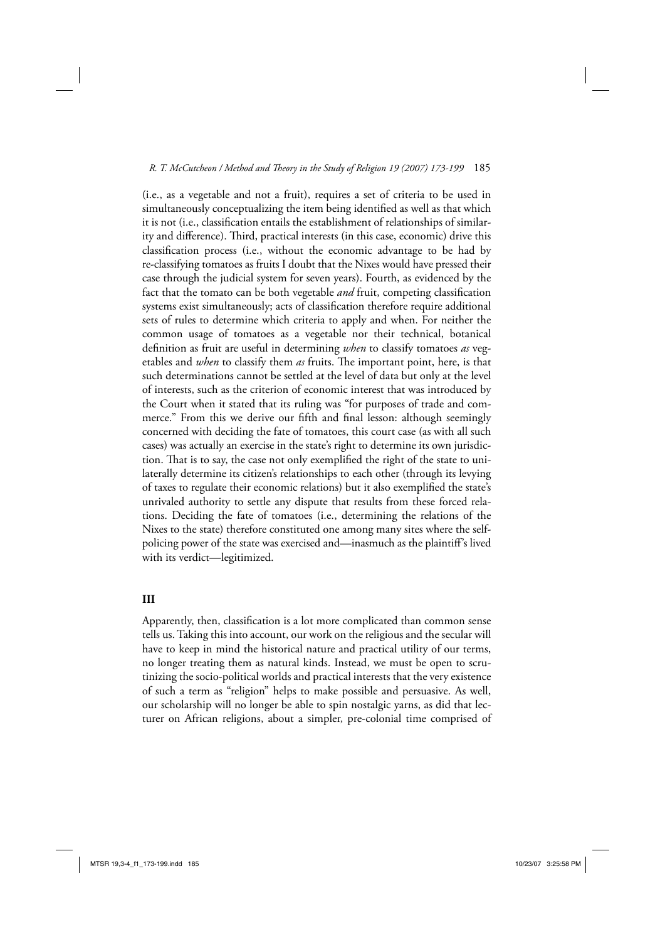(i.e., as a vegetable and not a fruit), requires a set of criteria to be used in simultaneously conceptualizing the item being identified as well as that which it is not (i.e., classification entails the establishment of relationships of similarity and difference). Third, practical interests (in this case, economic) drive this classification process (i.e., without the economic advantage to be had by re-classifying tomatoes as fruits I doubt that the Nixes would have pressed their case through the judicial system for seven years). Fourth, as evidenced by the fact that the tomato can be both vegetable *and* fruit, competing classification systems exist simultaneously; acts of classification therefore require additional sets of rules to determine which criteria to apply and when. For neither the common usage of tomatoes as a vegetable nor their technical, botanical definition as fruit are useful in determining when to classify tomatoes as vegetables and when to classify them as fruits. The important point, here, is that such determinations cannot be settled at the level of data but only at the level of interests, such as the criterion of economic interest that was introduced by the Court when it stated that its ruling was "for purposes of trade and commerce." From this we derive our fifth and final lesson: although seemingly concerned with deciding the fate of tomatoes, this court case (as with all such cases) was actually an exercise in the state's right to determine its own jurisdiction. That is to say, the case not only exemplified the right of the state to unilaterally determine its citizen's relationships to each other (through its levying of taxes to regulate their economic relations) but it also exemplified the state's unrivaled authority to settle any dispute that results from these forced relations. Deciding the fate of tomatoes (i.e., determining the relations of the Nixes to the state) therefore constituted one among many sites where the selfpolicing power of the state was exercised and—inasmuch as the plaintiff's lived with its verdict-legitimized.

# **III**

Apparently, then, classification is a lot more complicated than common sense tells us. Taking this into account, our work on the religious and the secular will have to keep in mind the historical nature and practical utility of our terms, no longer treating them as natural kinds. Instead, we must be open to scrutinizing the socio-political worlds and practical interests that the very existence of such a term as "religion" helps to make possible and persuasive. As well, our scholarship will no longer be able to spin nostalgic yarns, as did that lecturer on African religions, about a simpler, pre-colonial time comprised of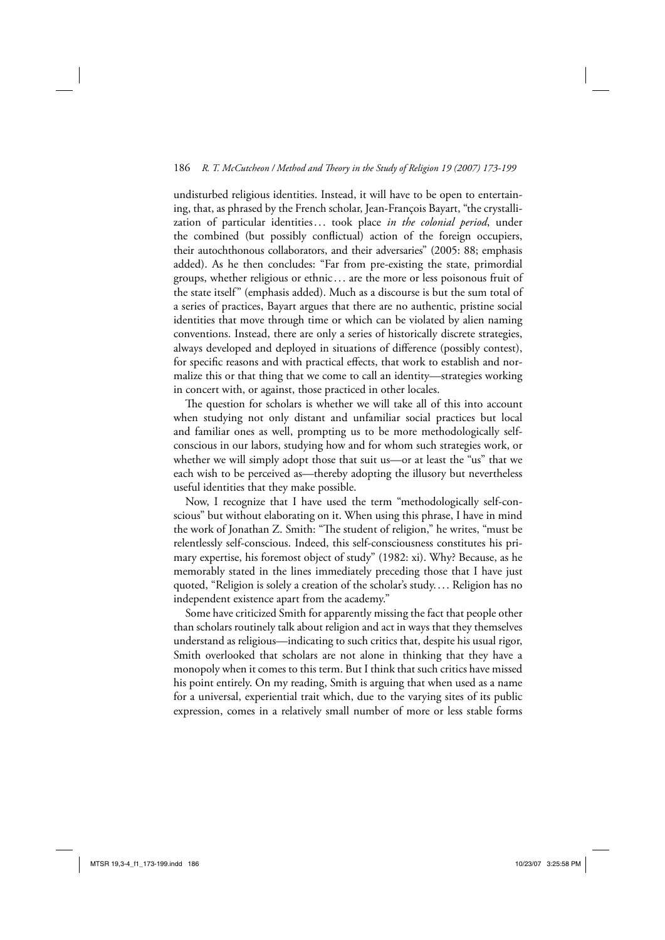undisturbed religious identities. Instead, it will have to be open to entertaining, that, as phrased by the French scholar, Jean-François Bayart, "the crystallization of particular identities... took place in the colonial period, under the combined (but possibly conflictual) action of the foreign occupiers, their autochthonous collaborators, and their adversaries" (2005: 88; emphasis added). As he then concludes: "Far from pre-existing the state, primordial groups, whether religious or ethnic... are the more or less poisonous fruit of the state itself" (emphasis added). Much as a discourse is but the sum total of a series of practices, Bayart argues that there are no authentic, pristine social identities that move through time or which can be violated by alien naming conventions. Instead, there are only a series of historically discrete strategies, always developed and deployed in situations of difference (possibly contest), for specific reasons and with practical effects, that work to establish and normalize this or that thing that we come to call an identity-strategies working in concert with, or against, those practiced in other locales.

The question for scholars is whether we will take all of this into account when studying not only distant and unfamiliar social practices but local and familiar ones as well, prompting us to be more methodologically selfconscious in our labors, studying how and for whom such strategies work, or whether we will simply adopt those that suit us-or at least the "us" that we each wish to be perceived as—thereby adopting the illusory but nevertheless useful identities that they make possible.

Now, I recognize that I have used the term "methodologically self-conscious" but without elaborating on it. When using this phrase, I have in mind the work of Jonathan Z. Smith: "The student of religion," he writes, "must be relentlessly self-conscious. Indeed, this self-consciousness constitutes his primary expertise, his foremost object of study" (1982: xi). Why? Because, as he memorably stated in the lines immediately preceding those that I have just quoted, "Religion is solely a creation of the scholar's study.... Religion has no independent existence apart from the academy."

Some have criticized Smith for apparently missing the fact that people other than scholars routinely talk about religion and act in ways that they themselves understand as religious-indicating to such critics that, despite his usual rigor, Smith overlooked that scholars are not alone in thinking that they have a monopoly when it comes to this term. But I think that such critics have missed his point entirely. On my reading, Smith is arguing that when used as a name for a universal, experiential trait which, due to the varying sites of its public expression, comes in a relatively small number of more or less stable forms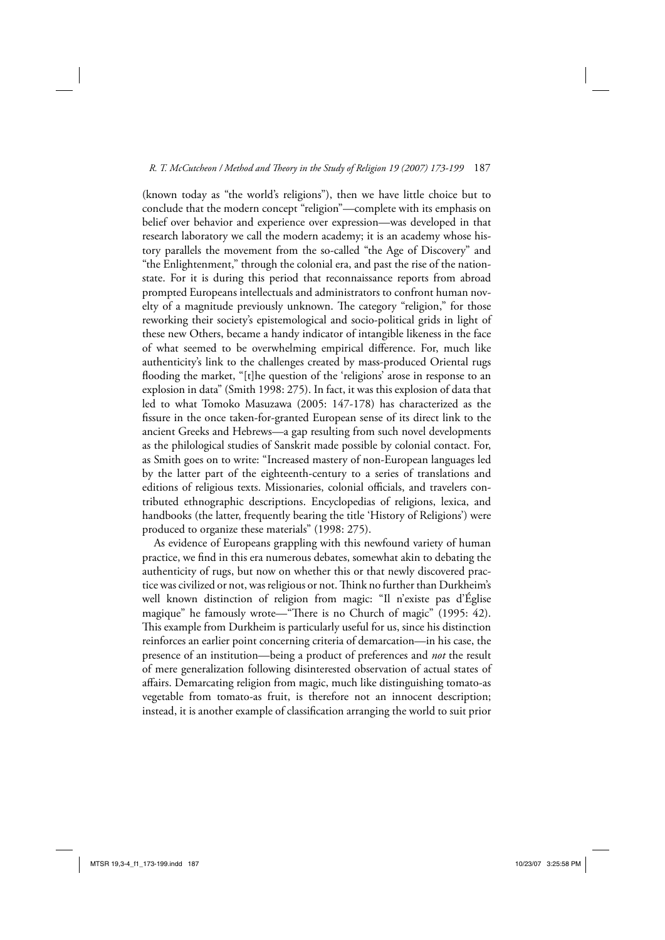(known today as "the world's religions"), then we have little choice but to conclude that the modern concept "religion"-complete with its emphasis on belief over behavior and experience over expression-was developed in that research laboratory we call the modern academy; it is an academy whose history parallels the movement from the so-called "the Age of Discovery" and "the Enlightenment," through the colonial era, and past the rise of the nationstate. For it is during this period that reconnaissance reports from abroad prompted Europeans intellectuals and administrators to confront human novelty of a magnitude previously unknown. The category "religion," for those reworking their society's epistemological and socio-political grids in light of these new Others, became a handy indicator of intangible likeness in the face of what seemed to be overwhelming empirical difference. For, much like authenticity's link to the challenges created by mass-produced Oriental rugs flooding the market, "[t]he question of the 'religions' arose in response to an explosion in data" (Smith 1998: 275). In fact, it was this explosion of data that led to what Tomoko Masuzawa (2005: 147-178) has characterized as the fissure in the once taken-for-granted European sense of its direct link to the ancient Greeks and Hebrews—a gap resulting from such novel developments as the philological studies of Sanskrit made possible by colonial contact. For, as Smith goes on to write: "Increased mastery of non-European languages led by the latter part of the eighteenth-century to a series of translations and editions of religious texts. Missionaries, colonial officials, and travelers contributed ethnographic descriptions. Encyclopedias of religions, lexica, and handbooks (the latter, frequently bearing the title 'History of Religions') were produced to organize these materials" (1998: 275).

As evidence of Europeans grappling with this newfound variety of human practice, we find in this era numerous debates, somewhat akin to debating the authenticity of rugs, but now on whether this or that newly discovered practice was civilized or not, was religious or not. Think no further than Durkheim's well known distinction of religion from magic: "Il n'existe pas d'Église magique" he famously wrote—"There is no Church of magic" (1995: 42). This example from Durkheim is particularly useful for us, since his distinction reinforces an earlier point concerning criteria of demarcation-in his case, the presence of an institution-being a product of preferences and *not* the result of mere generalization following disinterested observation of actual states of affairs. Demarcating religion from magic, much like distinguishing tomato-as vegetable from tomato-as fruit, is therefore not an innocent description; instead, it is another example of classification arranging the world to suit prior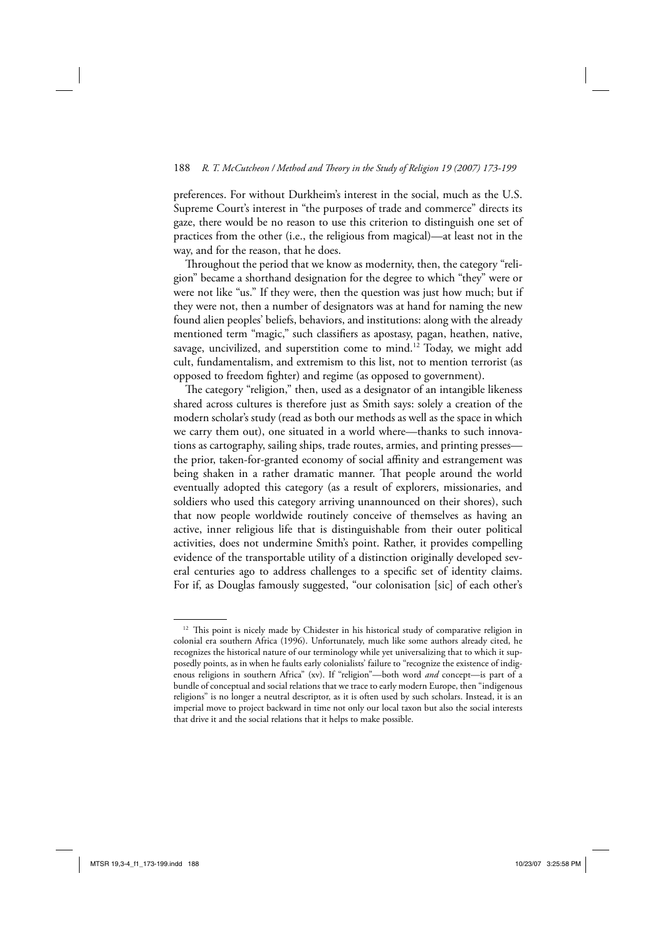preferences. For without Durkheim's interest in the social, much as the U.S. Supreme Court's interest in "the purposes of trade and commerce" directs its gaze, there would be no reason to use this criterion to distinguish one set of practices from the other (i.e., the religious from magical)—at least not in the way, and for the reason, that he does.

Throughout the period that we know as modernity, then, the category "religion" became a shorthand designation for the degree to which "they" were or were not like "us." If they were, then the question was just how much; but if they were not, then a number of designators was at hand for naming the new found alien peoples' beliefs, behaviors, and institutions: along with the already mentioned term "magic," such classifiers as apostasy, pagan, heathen, native, savage, uncivilized, and superstition come to mind.<sup>12</sup> Today, we might add cult, fundamentalism, and extremism to this list, not to mention terrorist (as opposed to freedom fighter) and regime (as opposed to government).

The category "religion," then, used as a designator of an intangible likeness shared across cultures is therefore just as Smith says: solely a creation of the modern scholar's study (read as both our methods as well as the space in which we carry them out), one situated in a world where-thanks to such innovations as cartography, sailing ships, trade routes, armies, and printing pressesthe prior, taken-for-granted economy of social affinity and estrangement was being shaken in a rather dramatic manner. That people around the world eventually adopted this category (as a result of explorers, missionaries, and soldiers who used this category arriving unannounced on their shores), such that now people worldwide routinely conceive of themselves as having an active, inner religious life that is distinguishable from their outer political activities, does not undermine Smith's point. Rather, it provides compelling evidence of the transportable utility of a distinction originally developed several centuries ago to address challenges to a specific set of identity claims. For if, as Douglas famously suggested, "our colonisation [sic] of each other's

<sup>&</sup>lt;sup>12</sup> This point is nicely made by Chidester in his historical study of comparative religion in colonial era southern Africa (1996). Unfortunately, much like some authors already cited, he recognizes the historical nature of our terminology while yet universalizing that to which it supposedly points, as in when he faults early colonialists' failure to "recognize the existence of indigenous religions in southern Africa" (xv). If "religion"-both word and concept- is part of a bundle of conceptual and social relations that we trace to early modern Europe, then "indigenous religions" is no longer a neutral descriptor, as it is often used by such scholars. Instead, it is an imperial move to project backward in time not only our local taxon but also the social interests that drive it and the social relations that it helps to make possible.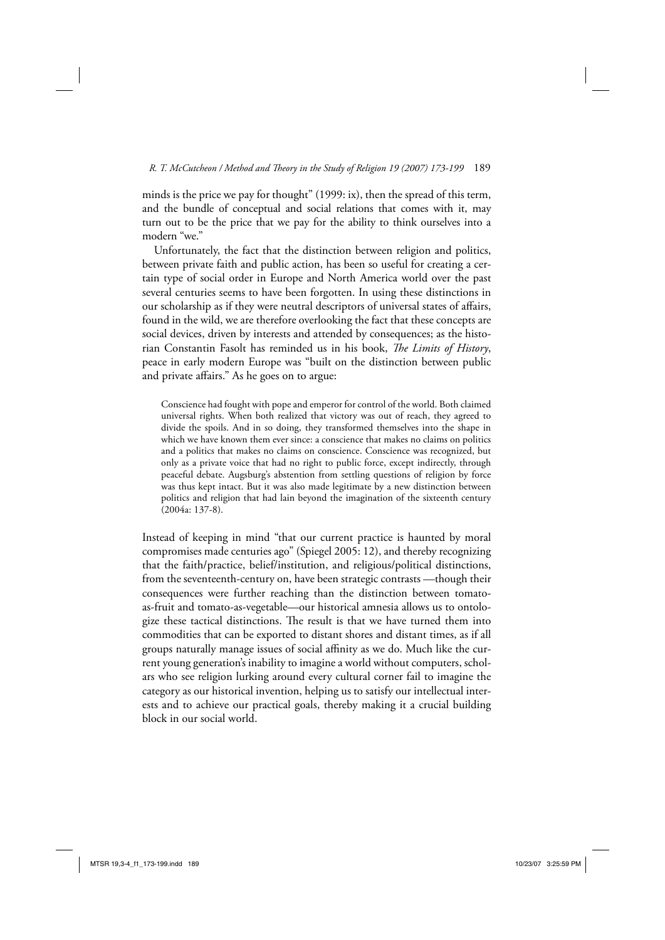minds is the price we pay for thought" (1999: ix), then the spread of this term, and the bundle of conceptual and social relations that comes with it, may turn out to be the price that we pay for the ability to think ourselves into a modern "we."

Unfortunately, the fact that the distinction between religion and politics, between private faith and public action, has been so useful for creating a certain type of social order in Europe and North America world over the past several centuries seems to have been forgotten. In using these distinctions in our scholarship as if they were neutral descriptors of universal states of affairs, found in the wild, we are therefore overlooking the fact that these concepts are social devices, driven by interests and attended by consequences; as the historian Constantin Fasolt has reminded us in his book, The Limits of History, peace in early modern Europe was "built on the distinction between public and private affairs." As he goes on to argue:

Conscience had fought with pope and emperor for control of the world. Both claimed universal rights. When both realized that victory was out of reach, they agreed to divide the spoils. And in so doing, they transformed themselves into the shape in which we have known them ever since: a conscience that makes no claims on politics and a politics that makes no claims on conscience. Conscience was recognized, but only as a private voice that had no right to public force, except indirectly, through peaceful debate. Augsburg's abstention from settling questions of religion by force was thus kept intact. But it was also made legitimate by a new distinction between politics and religion that had lain beyond the imagination of the sixteenth century  $(2004a: 137-8).$ 

Instead of keeping in mind "that our current practice is haunted by moral compromises made centuries ago" (Spiegel 2005: 12), and thereby recognizing that the faith/practice, belief/institution, and religious/political distinctions, from the seventeenth-century on, have been strategic contrasts - though their consequences were further reaching than the distinction between tomatoas-fruit and tomato-as-vegetable-our historical amnesia allows us to ontologize these tactical distinctions. The result is that we have turned them into commodities that can be exported to distant shores and distant times, as if all groups naturally manage issues of social affinity as we do. Much like the current young generation's inability to imagine a world without computers, scholars who see religion lurking around every cultural corner fail to imagine the category as our historical invention, helping us to satisfy our intellectual interests and to achieve our practical goals, thereby making it a crucial building block in our social world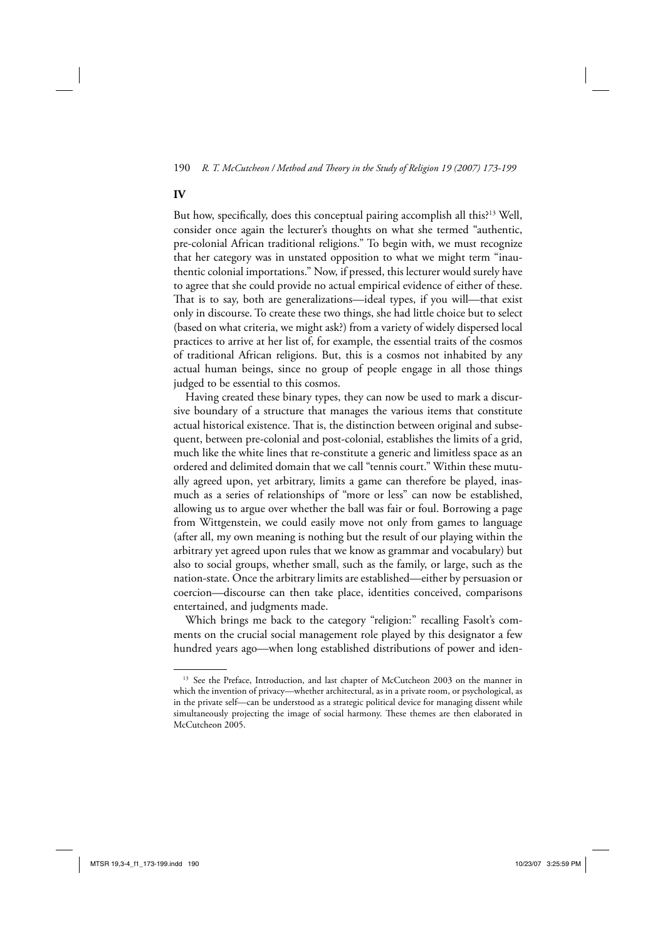#### $\mathbf{I}$

But how, specifically, does this conceptual pairing accomplish all this?<sup>13</sup> Well, consider once again the lecturer's thoughts on what she termed "authentic, pre-colonial African traditional religions." To begin with, we must recognize that her category was in unstated opposition to what we might term "inauthentic colonial importations." Now, if pressed, this lecturer would surely have to agree that she could provide no actual empirical evidence of either of these. That is to say, both are generalizations-ideal types, if you will-that exist only in discourse. To create these two things, she had little choice but to select (based on what criteria, we might ask?) from a variety of widely dispersed local practices to arrive at her list of, for example, the essential traits of the cosmos of traditional African religions. But, this is a cosmos not inhabited by any actual human beings, since no group of people engage in all those things judged to be essential to this cosmos.

Having created these binary types, they can now be used to mark a discursive boundary of a structure that manages the various items that constitute actual historical existence. That is, the distinction between original and subsequent, between pre-colonial and post-colonial, establishes the limits of a grid, much like the white lines that re-constitute a generic and limitless space as an ordered and delimited domain that we call "tennis court." Within these mutually agreed upon, yet arbitrary, limits a game can therefore be played, inasmuch as a series of relationships of "more or less" can now be established, allowing us to argue over whether the ball was fair or foul. Borrowing a page from Wittgenstein, we could easily move not only from games to language (after all, my own meaning is nothing but the result of our playing within the arbitrary yet agreed upon rules that we know as grammar and vocabulary) but also to social groups, whether small, such as the family, or large, such as the nation-state. Once the arbitrary limits are established—either by persuasion or coercion-discourse can then take place, identities conceived, comparisons entertained, and judgments made.

Which brings me back to the category "religion:" recalling Fasolt's comments on the crucial social management role played by this designator a few hundred years ago-when long established distributions of power and iden-

<sup>&</sup>lt;sup>13</sup> See the Preface, Introduction, and last chapter of McCutcheon 2003 on the manner in which the invention of privacy—whether architectural, as in a private room, or psychological, as in the private self-can be understood as a strategic political device for managing dissent while simultaneously projecting the image of social harmony. These themes are then elaborated in McCutcheon 2005.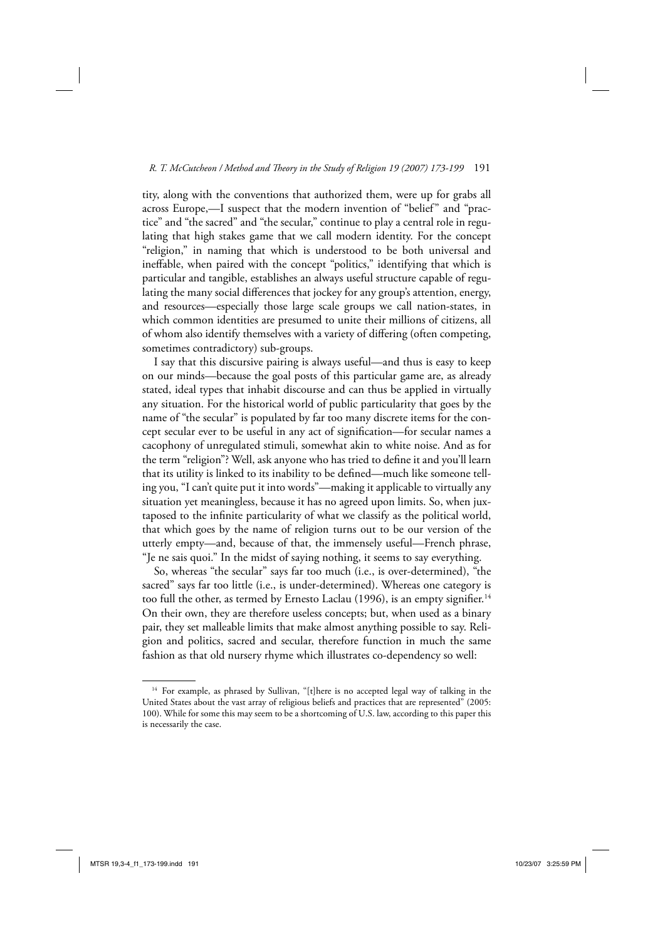tity, along with the conventions that authorized them, were up for grabs all across Europe,—I suspect that the modern invention of "belief" and "practice" and "the sacred" and "the secular," continue to play a central role in regulating that high stakes game that we call modern identity. For the concept "religion," in naming that which is understood to be both universal and ineffable, when paired with the concept "politics," identifying that which is particular and tangible, establishes an always useful structure capable of regulating the many social differences that jockey for any group's attention, energy, and resources—especially those large scale groups we call nation-states, in which common identities are presumed to unite their millions of citizens, all of whom also identify themselves with a variety of differing (often competing, sometimes contradictory) sub-groups.

I say that this discursive pairing is always useful—and thus is easy to keep on our minds—because the goal posts of this particular game are, as already stated, ideal types that inhabit discourse and can thus be applied in virtually any situation. For the historical world of public particularity that goes by the name of "the secular" is populated by far too many discrete items for the concept secular ever to be useful in any act of signification-for secular names a cacophony of unregulated stimuli, somewhat akin to white noise. And as for the term "religion"? Well, ask anyone who has tried to define it and you'll learn that its utility is linked to its inability to be defined—much like someone telling you, "I can't quite put it into words"—making it applicable to virtually any situation yet meaningless, because it has no agreed upon limits. So, when juxtaposed to the infinite particularity of what we classify as the political world, that which goes by the name of religion turns out to be our version of the utterly empty-and, because of that, the immensely useful-French phrase, "Je ne sais quoi." In the midst of saying nothing, it seems to say everything.

So, whereas "the secular" says far too much (i.e., is over-determined), "the sacred" says far too little (i.e., is under-determined). Whereas one category is too full the other, as termed by Ernesto Laclau (1996), is an empty signifier.<sup>14</sup> On their own, they are therefore useless concepts; but, when used as a binary pair, they set malleable limits that make almost anything possible to say. Religion and politics, sacred and secular, therefore function in much the same fashion as that old nursery rhyme which illustrates co-dependency so well:

<sup>&</sup>lt;sup>14</sup> For example, as phrased by Sullivan, "[t]here is no accepted legal way of talking in the United States about the vast array of religious beliefs and practices that are represented" (2005: 100). While for some this may seem to be a shortcoming of U.S. law, according to this paper this is necessarily the case.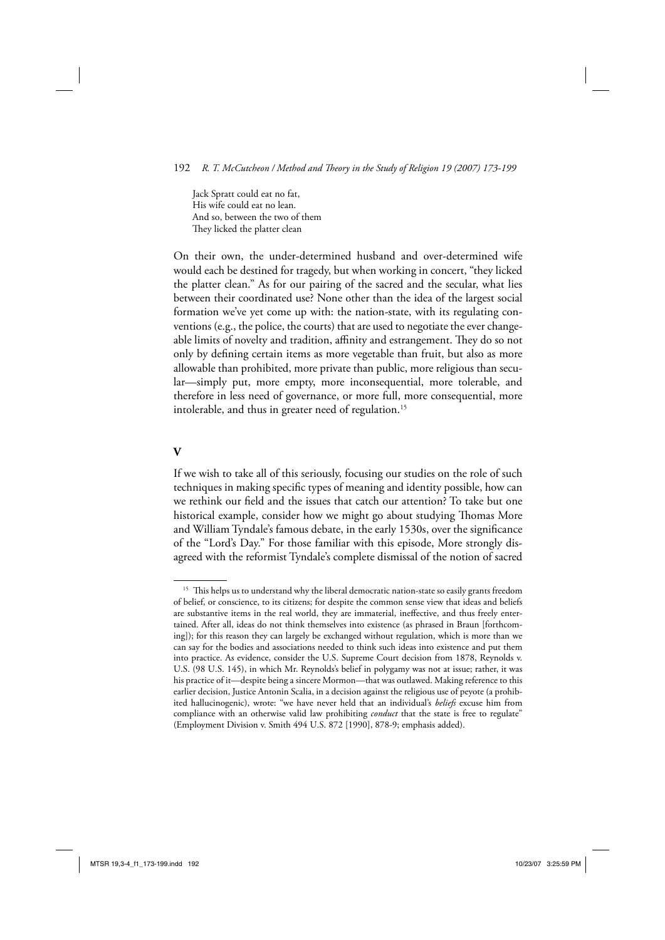Jack Spratt could eat no fat, His wife could eat no lean. And so, between the two of them They licked the platter clean

On their own, the under-determined husband and over-determined wife would each be destined for tragedy, but when working in concert, "they licked the platter clean." As for our pairing of the sacred and the secular, what lies between their coordinated use? None other than the idea of the largest social formation we've yet come up with: the nation-state, with its regulating conventions (e.g., the police, the courts) that are used to negotiate the ever changeable limits of novelty and tradition, affinity and estrangement. They do so not only by defining certain items as more vegetable than fruit, but also as more allowable than prohibited, more private than public, more religious than secular-simply put, more empty, more inconsequential, more tolerable, and therefore in less need of governance, or more full, more consequential, more intolerable, and thus in greater need of regulation.<sup>15</sup>

### $\mathbf{V}$

If we wish to take all of this seriously, focusing our studies on the role of such techniques in making specific types of meaning and identity possible, how can we rethink our field and the issues that catch our attention? To take but one historical example, consider how we might go about studying Thomas More and William Tyndale's famous debate, in the early 1530s, over the significance of the "Lord's Day." For those familiar with this episode, More strongly disagreed with the reformist Tyndale's complete dismissal of the notion of sacred

<sup>&</sup>lt;sup>15</sup> This helps us to understand why the liberal democratic nation-state so easily grants freedom of belief, or conscience, to its citizens; for despite the common sense view that ideas and beliefs are substantive items in the real world, they are immaterial, ineffective, and thus freely entertained. After all, ideas do not think themselves into existence (as phrased in Braun [forthcoming]); for this reason they can largely be exchanged without regulation, which is more than we can say for the bodies and associations needed to think such ideas into existence and put them into practice. As evidence, consider the U.S. Supreme Court decision from 1878, Reynolds v. U.S. (98 U.S. 145), in which Mr. Reynolds's belief in polygamy was not at issue; rather, it was his practice of it—despite being a sincere Mormon—that was outlawed. Making reference to this earlier decision, Justice Antonin Scalia, in a decision against the religious use of peyote (a prohibited hallucinogenic), wrote: "we have never held that an individual's beliefs excuse him from compliance with an otherwise valid law prohibiting conduct that the state is free to regulate" (Employment Division v. Smith 494 U.S. 872 [1990], 878-9; emphasis added).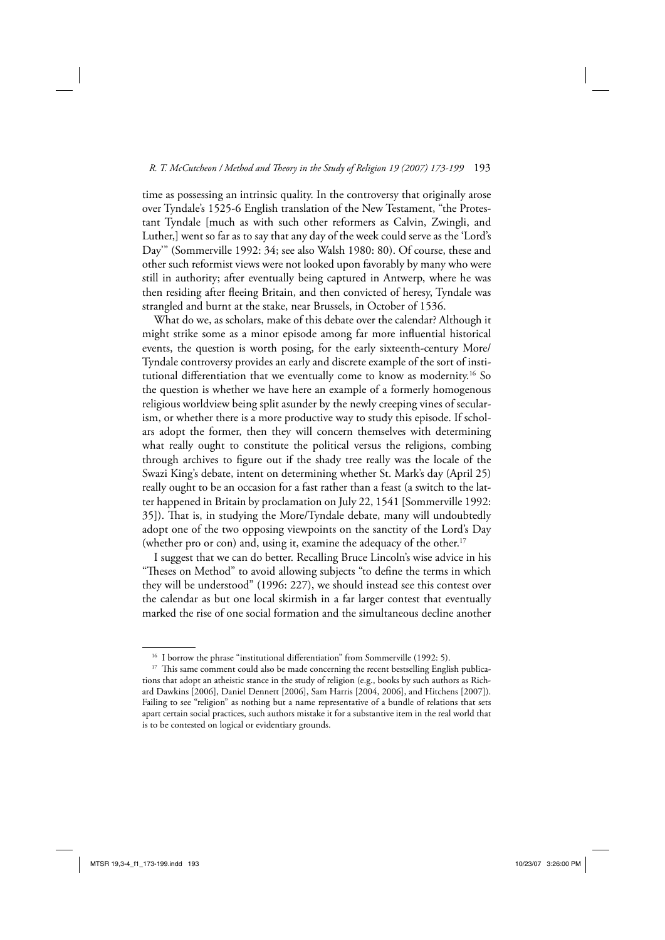time as possessing an intrinsic quality. In the controversy that originally arose over Tyndale's 1525-6 English translation of the New Testament, "the Protestant Tyndale [much as with such other reformers as Calvin, Zwingli, and Luther,] went so far as to say that any day of the week could serve as the 'Lord's Day" (Sommerville 1992: 34; see also Walsh 1980: 80). Of course, these and other such reformist views were not looked upon favorably by many who were still in authority; after eventually being captured in Antwerp, where he was then residing after fleeing Britain, and then convicted of heresy, Tyndale was strangled and burnt at the stake, near Brussels, in October of 1536.

What do we, as scholars, make of this debate over the calendar? Although it might strike some as a minor episode among far more influential historical events, the question is worth posing, for the early sixteenth-century More/ Tyndale controversy provides an early and discrete example of the sort of institutional differentiation that we eventually come to know as modernity.<sup>16</sup> So the question is whether we have here an example of a formerly homogenous religious worldview being split asunder by the newly creeping vines of secularism, or whether there is a more productive way to study this episode. If scholars adopt the former, then they will concern themselves with determining what really ought to constitute the political versus the religions, combing through archives to figure out if the shady tree really was the locale of the Swazi King's debate, intent on determining whether St. Mark's day (April 25) really ought to be an occasion for a fast rather than a feast (a switch to the latter happened in Britain by proclamation on July 22, 1541 [Sommerville 1992: 35]). That is, in studying the More/Tyndale debate, many will undoubtedly adopt one of the two opposing viewpoints on the sanctity of the Lord's Day (whether pro or con) and, using it, examine the adequacy of the other.<sup>17</sup>

I suggest that we can do better. Recalling Bruce Lincoln's wise advice in his "Theses on Method" to avoid allowing subjects "to define the terms in which they will be understood" (1996: 227), we should instead see this contest over the calendar as but one local skirmish in a far larger contest that eventually marked the rise of one social formation and the simultaneous decline another

<sup>&</sup>lt;sup>16</sup> I borrow the phrase "institutional differentiation" from Sommerville (1992: 5).

<sup>&</sup>lt;sup>17</sup> This same comment could also be made concerning the recent bestselling English publications that adopt an atheistic stance in the study of religion (e.g., books by such authors as Richard Dawkins [2006], Daniel Dennett [2006], Sam Harris [2004, 2006], and Hitchens [2007]). Failing to see "religion" as nothing but a name representative of a bundle of relations that sets apart certain social practices, such authors mistake it for a substantive item in the real world that is to be contested on logical or evidentiary grounds.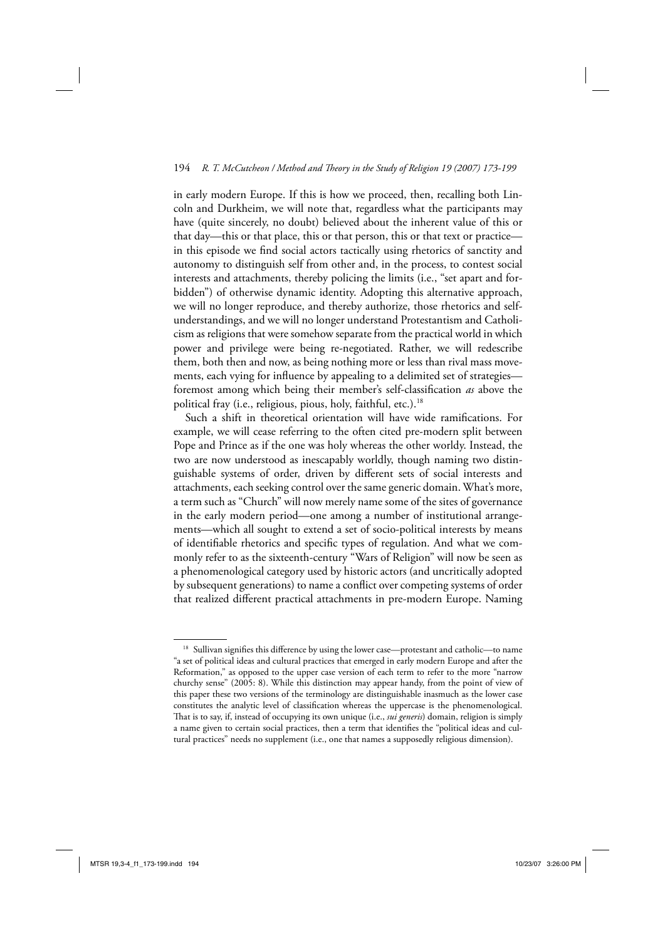in early modern Europe. If this is how we proceed, then, recalling both Lincoln and Durkheim, we will note that, regardless what the participants may have (quite sincerely, no doubt) believed about the inherent value of this or that day-this or that place, this or that person, this or that text or practicein this episode we find social actors tactically using rhetorics of sanctity and autonomy to distinguish self from other and, in the process, to contest social interests and attachments, thereby policing the limits (i.e., "set apart and forbidden") of otherwise dynamic identity. Adopting this alternative approach, we will no longer reproduce, and thereby authorize, those rhetorics and selfunderstandings, and we will no longer understand Protestantism and Catholicism as religions that were somehow separate from the practical world in which power and privilege were being re-negotiated. Rather, we will redescribe them, both then and now, as being nothing more or less than rival mass movements, each vying for influence by appealing to a delimited set of strategies foremost among which being their member's self-classification as above the political fray (i.e., religious, pious, holy, faithful, etc.).<sup>18</sup>

Such a shift in theoretical orientation will have wide ramifications. For example, we will cease referring to the often cited pre-modern split between Pope and Prince as if the one was holy whereas the other worldy. Instead, the two are now understood as inescapably worldly, though naming two distinguishable systems of order, driven by different sets of social interests and attachments, each seeking control over the same generic domain. What's more, a term such as "Church" will now merely name some of the sites of governance in the early modern period—one among a number of institutional arrangements—which all sought to extend a set of socio-political interests by means of identifiable rhetorics and specific types of regulation. And what we commonly refer to as the sixteenth-century "Wars of Religion" will now be seen as a phenomenological category used by historic actors (and uncritically adopted by subsequent generations) to name a conflict over competing systems of order that realized different practical attachments in pre-modern Europe. Naming

<sup>&</sup>lt;sup>18</sup> Sullivan signifies this difference by using the lower case—protestant and catholic—to name "a set of political ideas and cultural practices that emerged in early modern Europe and after the Reformation," as opposed to the upper case version of each term to refer to the more "narrow churchy sense" (2005: 8). While this distinction may appear handy, from the point of view of this paper these two versions of the terminology are distinguishable inasmuch as the lower case constitutes the analytic level of classification whereas the uppercase is the phenomenological. That is to say, if, instead of occupying its own unique (i.e., sui generis) domain, religion is simply a name given to certain social practices, then a term that identifies the "political ideas and cultural practices" needs no supplement (i.e., one that names a supposedly religious dimension).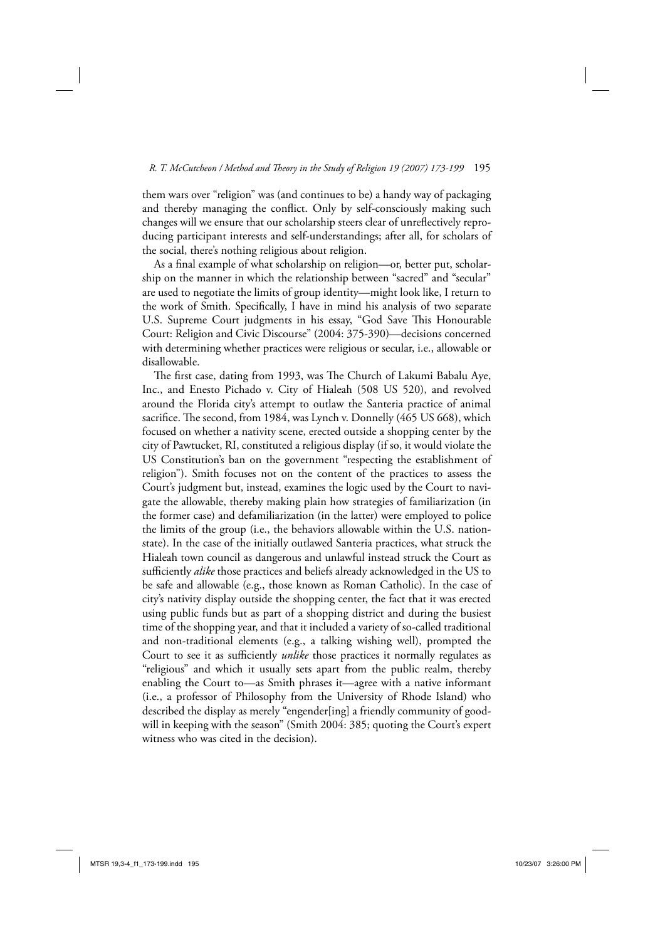them wars over "religion" was (and continues to be) a handy way of packaging and thereby managing the conflict. Only by self-consciously making such changes will we ensure that our scholarship steers clear of unreflectively reproducing participant interests and self-understandings; after all, for scholars of the social, there's nothing religious about religion.

As a final example of what scholarship on religion-or, better put, scholarship on the manner in which the relationship between "sacred" and "secular" are used to negotiate the limits of group identity-might look like, I return to the work of Smith. Specifically, I have in mind his analysis of two separate U.S. Supreme Court judgments in his essay, "God Save This Honourable Court: Religion and Civic Discourse" (2004: 375-390)—decisions concerned with determining whether practices were religious or secular, i.e., allowable or disallowable.

The first case, dating from 1993, was The Church of Lakumi Babalu Aye, Inc., and Enesto Pichado v. City of Hialeah (508 US 520), and revolved around the Florida city's attempt to outlaw the Santeria practice of animal sacrifice. The second, from 1984, was Lynch v. Donnelly (465 US 668), which focused on whether a nativity scene, erected outside a shopping center by the city of Pawtucket, RI, constituted a religious display (if so, it would violate the US Constitution's ban on the government "respecting the establishment of religion"). Smith focuses not on the content of the practices to assess the Court's judgment but, instead, examines the logic used by the Court to navigate the allowable, thereby making plain how strategies of familiarization (in the former case) and defamiliarization (in the latter) were employed to police the limits of the group (i.e., the behaviors allowable within the U.S. nationstate). In the case of the initially outlawed Santeria practices, what struck the Hialeah town council as dangerous and unlawful instead struck the Court as sufficiently alike those practices and beliefs already acknowledged in the US to be safe and allowable (e.g., those known as Roman Catholic). In the case of city's nativity display outside the shopping center, the fact that it was erected using public funds but as part of a shopping district and during the busiest time of the shopping year, and that it included a variety of so-called traditional and non-traditional elements (e.g., a talking wishing well), prompted the Court to see it as sufficiently *unlike* those practices it normally regulates as "religious" and which it usually sets apart from the public realm, thereby enabling the Court to-as Smith phrases it-agree with a native informant (i.e., a professor of Philosophy from the University of Rhode Island) who described the display as merely "engender[ing] a friendly community of goodwill in keeping with the season" (Smith 2004: 385; quoting the Court's expert witness who was cited in the decision).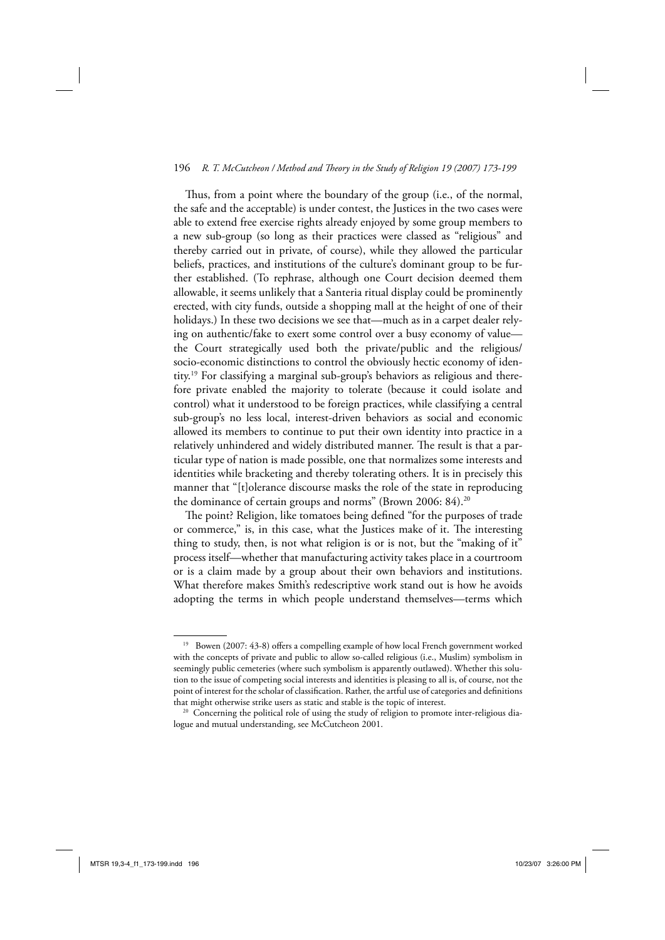Thus, from a point where the boundary of the group (i.e., of the normal, the safe and the acceptable) is under contest, the Justices in the two cases were able to extend free exercise rights already enjoyed by some group members to a new sub-group (so long as their practices were classed as "religious" and thereby carried out in private, of course), while they allowed the particular beliefs, practices, and institutions of the culture's dominant group to be further established. (To rephrase, although one Court decision deemed them allowable, it seems unlikely that a Santeria ritual display could be prominently erected, with city funds, outside a shopping mall at the height of one of their holidays.) In these two decisions we see that—much as in a carpet dealer relying on authentic/fake to exert some control over a busy economy of valuethe Court strategically used both the private/public and the religious/ socio-economic distinctions to control the obviously hectic economy of identity.<sup>19</sup> For classifying a marginal sub-group's behaviors as religious and therefore private enabled the majority to tolerate (because it could isolate and control) what it understood to be foreign practices, while classifying a central sub-group's no less local, interest-driven behaviors as social and economic allowed its members to continue to put their own identity into practice in a relatively unhindered and widely distributed manner. The result is that a particular type of nation is made possible, one that normalizes some interests and identities while bracketing and thereby tolerating others. It is in precisely this manner that "[t]olerance discourse masks the role of the state in reproducing the dominance of certain groups and norms" (Brown 2006: 84).<sup>20</sup>

The point? Religion, like tomatoes being defined "for the purposes of trade or commerce," is, in this case, what the Justices make of it. The interesting thing to study, then, is not what religion is or is not, but the "making of it" process itself—whether that manufacturing activity takes place in a courtroom or is a claim made by a group about their own behaviors and institutions. What therefore makes Smith's redescriptive work stand out is how he avoids adopting the terms in which people understand themselves-terms which

<sup>&</sup>lt;sup>19</sup> Bowen (2007: 43-8) offers a compelling example of how local French government worked with the concepts of private and public to allow so-called religious (i.e., Muslim) symbolism in seemingly public cemeteries (where such symbolism is apparently outlawed). Whether this solution to the issue of competing social interests and identities is pleasing to all is, of course, not the point of interest for the scholar of classification. Rather, the artful use of categories and definitions that might otherwise strike users as static and stable is the topic of interest.

<sup>&</sup>lt;sup>20</sup> Concerning the political role of using the study of religion to promote inter-religious dialogue and mutual understanding, see McCutcheon 2001.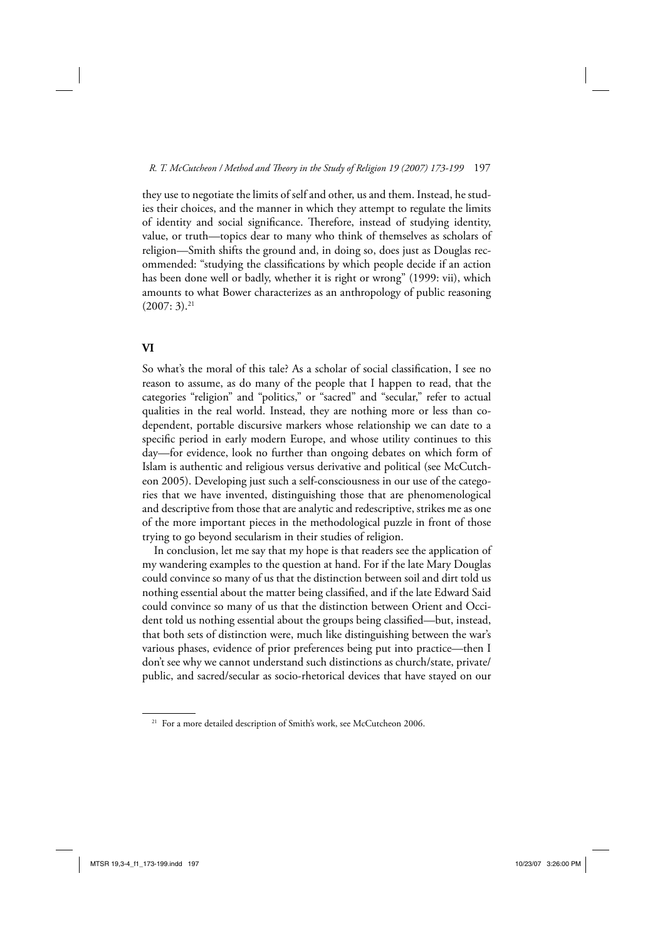they use to negotiate the limits of self and other, us and them. Instead, he studies their choices, and the manner in which they attempt to regulate the limits of identity and social significance. Therefore, instead of studying identity, value, or truth-topics dear to many who think of themselves as scholars of religion—Smith shifts the ground and, in doing so, does just as Douglas recommended: "studying the classifications by which people decide if an action has been done well or badly, whether it is right or wrong" (1999: vii), which amounts to what Bower characterizes as an anthropology of public reasoning  $(2007; 3).^{21}$ 

## $\mathbf{V}$

So what's the moral of this tale? As a scholar of social classification, I see no reason to assume, as do many of the people that I happen to read, that the categories "religion" and "politics," or "sacred" and "secular," refer to actual qualities in the real world. Instead, they are nothing more or less than codependent, portable discursive markers whose relationship we can date to a specific period in early modern Europe, and whose utility continues to this day-for evidence, look no further than ongoing debates on which form of Islam is authentic and religious versus derivative and political (see McCutcheon 2005). Developing just such a self-consciousness in our use of the categories that we have invented, distinguishing those that are phenomenological and descriptive from those that are analytic and redescriptive, strikes me as one of the more important pieces in the methodological puzzle in front of those trying to go beyond secularism in their studies of religion.

In conclusion, let me say that my hope is that readers see the application of my wandering examples to the question at hand. For if the late Mary Douglas could convince so many of us that the distinction between soil and dirt told us nothing essential about the matter being classified, and if the late Edward Said could convince so many of us that the distinction between Orient and Occident told us nothing essential about the groups being classified—but, instead, that both sets of distinction were, much like distinguishing between the war's various phases, evidence of prior preferences being put into practice-then I don't see why we cannot understand such distinctions as church/state, private/ public, and sacred/secular as socio-rhetorical devices that have stayed on our

<sup>&</sup>lt;sup>21</sup> For a more detailed description of Smith's work, see McCutcheon 2006.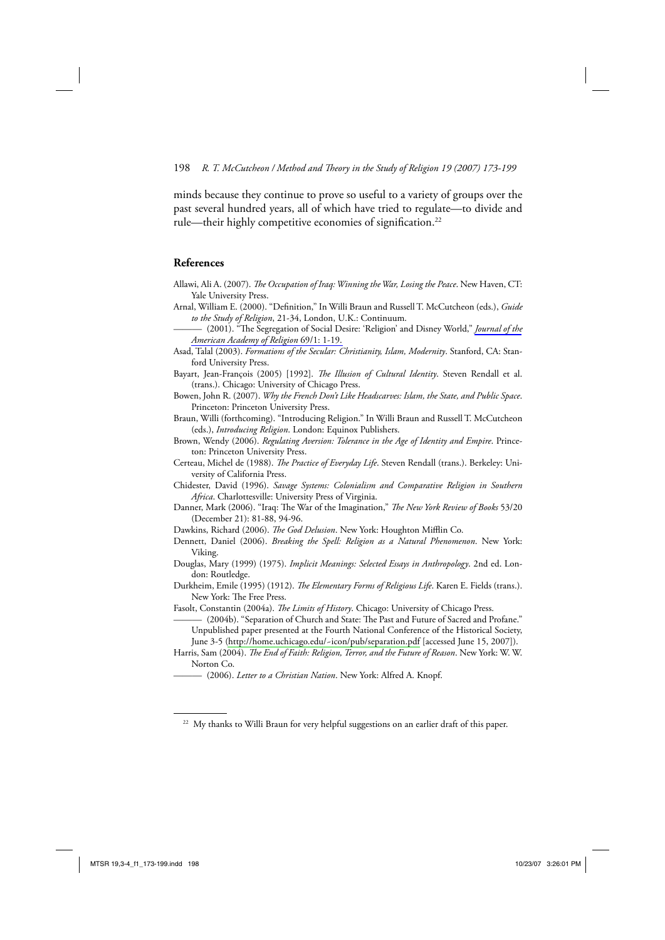minds because they continue to prove so useful to a variety of groups over the past several hundred years, all of which have tried to regulate-to divide and rule—their highly competitive economies of signification.<sup>22</sup>

## **References**

- Allawi, Ali A. (2007). The Occupation of Iraq: Winning the War, Losing the Peace. New Haven, CT: Yale University Press.
- Arnal, William E. (2000). "Definition," In Willi Braun and Russell T. McCutcheon (eds.), Guide to the Study of Religion, 21-34, London, U.K.: Continuum.
	- (2001). "The Segregation of Social Desire: 'Religion' and Disney World," Journal of the American Academy of Religion 69/1: 1-19.
- Asad, Talal (2003). Formations of the Secular: Christianity, Islam, Modernity. Stanford, CA: Stanford University Press.
- Bayart, Jean-François (2005) [1992]. The Illusion of Cultural Identity. Steven Rendall et al. (trans.). Chicago: University of Chicago Press.
- Bowen, John R. (2007). Why the French Don't Like Headscarves: Islam, the State, and Public Space. Princeton: Princeton University Press.
- Braun, Willi (forthcoming). "Introducing Religion." In Willi Braun and Russell T. McCutcheon (eds.), Introducing Religion. London: Equinox Publishers.
- Brown, Wendy (2006). Regulating Aversion: Tolerance in the Age of Identity and Empire. Princeton: Princeton University Press.
- Certeau, Michel de (1988). The Practice of Everyday Life. Steven Rendall (trans.). Berkeley: University of California Press.
- Chidester, David (1996). Savage Systems: Colonialism and Comparative Religion in Southern Africa. Charlottesville: University Press of Virginia.
- Danner, Mark (2006). "Iraq: The War of the Imagination," The New York Review of Books 53/20 (December 21): 81-88, 94-96.
- Dawkins, Richard (2006). The God Delusion. New York: Houghton Mifflin Co.
- Dennett, Daniel (2006). Breaking the Spell: Religion as a Natural Phenomenon. New York: Viking.
- Douglas, Mary (1999) (1975). Implicit Meanings: Selected Essays in Anthropology. 2nd ed. London: Routledge.
- Durkheim, Emile (1995) (1912). The Elementary Forms of Religious Life. Karen E. Fields (trans.). New York: The Free Press.
- Fasolt, Constantin (2004a). The Limits of History. Chicago: University of Chicago Press.
- (2004b). "Separation of Church and State: The Past and Future of Sacred and Profane." Unpublished paper presented at the Fourth National Conference of the Historical Society, June 3-5 (http://home.uchicago.edu/~icon/pub/separation.pdf [accessed June 15, 2007]).

Harris, Sam (2004). The End of Faith: Religion, Terror, and the Future of Reason. New York: W. W. Norton Co.

<sup>(2006).</sup> Letter to a Christian Nation. New York: Alfred A. Knopf.

<sup>&</sup>lt;sup>22</sup> My thanks to Willi Braun for very helpful suggestions on an earlier draft of this paper.